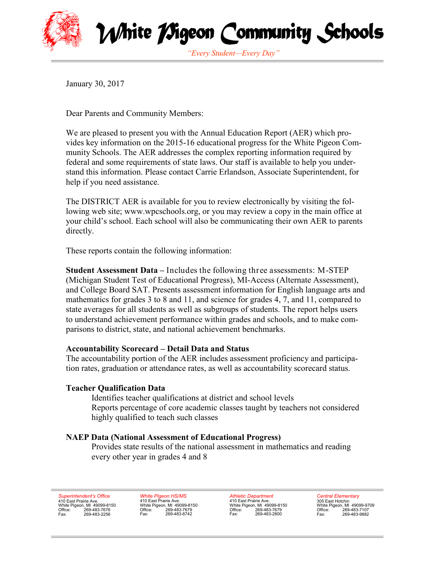

White *M*geon Community Schools

*"Every Student—Every Day"*

January 30, 2017

Dear Parents and Community Members:

We are pleased to present you with the Annual Education Report (AER) which provides key information on the 2015-16 educational progress for the White Pigeon Community Schools. The AER addresses the complex reporting information required by federal and some requirements of state laws. Our staff is available to help you understand this information. Please contact Carrie Erlandson, Associate Superintendent, for help if you need assistance.

The DISTRICT AER is available for you to review electronically by visiting the following web site; www.wpcschools.org, or you may review a copy in the main office at your child's school. Each school will also be communicating their own AER to parents directly.

These reports contain the following information:

**Student Assessment Data –** Includes the following three assessments: M-STEP (Michigan Student Test of Educational Progress), MI-Access (Alternate Assessment), and College Board SAT. Presents assessment information for English language arts and mathematics for grades 3 to 8 and 11, and science for grades 4, 7, and 11, compared to state averages for all students as well as subgroups of students. The report helps users to understand achievement performance within grades and schools, and to make comparisons to district, state, and national achievement benchmarks.

# **Accountability Scorecard – Detail Data and Status**

The accountability portion of the AER includes assessment proficiency and participation rates, graduation or attendance rates, as well as accountability scorecard status.

#### **Teacher Qualification Data**

Identifies teacher qualifications at district and school levels Reports percentage of core academic classes taught by teachers not considered highly qualified to teach such classes

# **NAEP Data (National Assessment of Educational Progress)**

Provides state results of the national assessment in mathematics and reading every other year in grades 4 and 8

*Superintendent's Office* 410 East Prairie Ave. White Pigeon, MI 49099-8150 Office: 269-483-7676 Fax: 269-483-2256

*White Pigeon HS/MS* 410 East Prairie Ave. White Pigeon, MI 49099-8150 Office: 269-483-7679 Fax: 269-483-8742

*Athletic Department* 410 East Prairie Ave. White Pigeon, MI 49099-8150 Office: 269-483-7679 Fax: 269-483-2800

*Central Elementary* 305 East Hotchin White Pigeon, MI 49099-9709 Office: 269-483-7107<br>Fax: 269-483-9882 Fax: 269-483-9882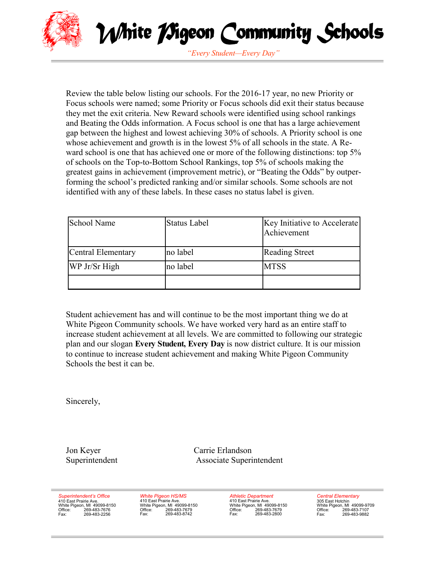



*"Every Student—Every Day"*

Review the table below listing our schools. For the 2016-17 year, no new Priority or Focus schools were named; some Priority or Focus schools did exit their status because they met the exit criteria. New Reward schools were identified using school rankings and Beating the Odds information. A Focus school is one that has a large achievement gap between the highest and lowest achieving 30% of schools. A Priority school is one whose achievement and growth is in the lowest 5% of all schools in the state. A Reward school is one that has achieved one or more of the following distinctions: top 5% of schools on the Top-to-Bottom School Rankings, top 5% of schools making the greatest gains in achievement (improvement metric), or "Beating the Odds" by outperforming the school's predicted ranking and/or similar schools. Some schools are not identified with any of these labels. In these cases no status label is given.

| <b>School Name</b> | <b>Status Label</b> | Key Initiative to Accelerate<br>Achievement |
|--------------------|---------------------|---------------------------------------------|
| Central Elementary | no label            | <b>Reading Street</b>                       |
| WP Jr/Sr High      | no label            | <b>MTSS</b>                                 |
|                    |                     |                                             |

Student achievement has and will continue to be the most important thing we do at White Pigeon Community schools. We have worked very hard as an entire staff to increase student achievement at all levels. We are committed to following our strategic plan and our slogan **Every Student, Every Day** is now district culture. It is our mission to continue to increase student achievement and making White Pigeon Community Schools the best it can be.

Sincerely,

Jon Keyer Carrie Erlandson Superintendent Associate Superintendent

*Superintendent's Office* 410 East Prairie Ave. White Pigeon, MI 49099-8150 Office: 269-483-7676<br>Fax: 269-483-2256 Fax: 269-483-2256

*White Pigeon HS/MS* 410 East Prairie Ave. White Pigeon, MI 49099-8150<br>Office: 269-483-7679 Office: 269-483-7679<br>Fax: 269-483-8742 Fax: 269-483-8742

*Athletic Department* Authoric Experience White Pigeon, MI 49099-8150 Office: 269-483-7679 Fax: 269-483-2800

*Central Elementary* 305 East Hotchin White Pigeon, MI 49099-9709 Office: 269-483-7107<br>Fax: 269-483-9882 Fax: 269-483-9882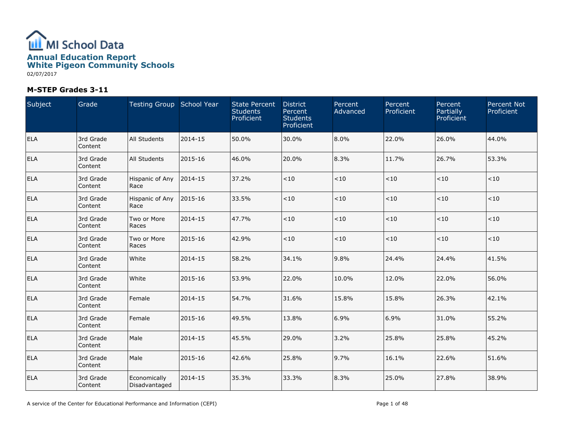

| Subject    | Grade                | Testing Group School Year     |         | <b>State Percent</b><br><b>Students</b><br>Proficient | <b>District</b><br>Percent<br><b>Students</b><br>Proficient | Percent<br>Advanced | Percent<br>Proficient | Percent<br>Partially<br>Proficient | <b>Percent Not</b><br>Proficient |
|------------|----------------------|-------------------------------|---------|-------------------------------------------------------|-------------------------------------------------------------|---------------------|-----------------------|------------------------------------|----------------------------------|
| <b>ELA</b> | 3rd Grade<br>Content | <b>All Students</b>           | 2014-15 | 50.0%                                                 | 30.0%                                                       | 8.0%                | 22.0%                 | 26.0%                              | 44.0%                            |
| <b>ELA</b> | 3rd Grade<br>Content | All Students                  | 2015-16 | 46.0%                                                 | 20.0%                                                       | 8.3%                | 11.7%                 | 26.7%                              | 53.3%                            |
| <b>ELA</b> | 3rd Grade<br>Content | Hispanic of Any<br>Race       | 2014-15 | 37.2%                                                 | < 10                                                        | < 10                | < 10                  | < 10                               | < 10                             |
| <b>ELA</b> | 3rd Grade<br>Content | Hispanic of Any<br>Race       | 2015-16 | 33.5%                                                 | < 10                                                        | $<\!10$             | < 10                  | < 10                               | $<10$                            |
| <b>ELA</b> | 3rd Grade<br>Content | Two or More<br>Races          | 2014-15 | 47.7%                                                 | < 10                                                        | $<\!10$             | $<10$                 | < 10                               | $<\!10$                          |
| <b>ELA</b> | 3rd Grade<br>Content | Two or More<br>Races          | 2015-16 | 42.9%                                                 | <10                                                         | $<\!10$             | $<10$                 | < 10                               | $<\!10$                          |
| <b>ELA</b> | 3rd Grade<br>Content | White                         | 2014-15 | 58.2%                                                 | 34.1%                                                       | 9.8%                | 24.4%                 | 24.4%                              | 41.5%                            |
| ELA        | 3rd Grade<br>Content | White                         | 2015-16 | 53.9%                                                 | 22.0%                                                       | 10.0%               | 12.0%                 | 22.0%                              | 56.0%                            |
| <b>ELA</b> | 3rd Grade<br>Content | Female                        | 2014-15 | 54.7%                                                 | 31.6%                                                       | 15.8%               | 15.8%                 | 26.3%                              | 42.1%                            |
| <b>ELA</b> | 3rd Grade<br>Content | Female                        | 2015-16 | 49.5%                                                 | 13.8%                                                       | 6.9%                | 6.9%                  | 31.0%                              | 55.2%                            |
| <b>ELA</b> | 3rd Grade<br>Content | Male                          | 2014-15 | 45.5%                                                 | 29.0%                                                       | 3.2%                | 25.8%                 | 25.8%                              | 45.2%                            |
| <b>ELA</b> | 3rd Grade<br>Content | Male                          | 2015-16 | 42.6%                                                 | 25.8%                                                       | 9.7%                | 16.1%                 | 22.6%                              | 51.6%                            |
| <b>ELA</b> | 3rd Grade<br>Content | Economically<br>Disadvantaged | 2014-15 | 35.3%                                                 | 33.3%                                                       | 8.3%                | 25.0%                 | 27.8%                              | 38.9%                            |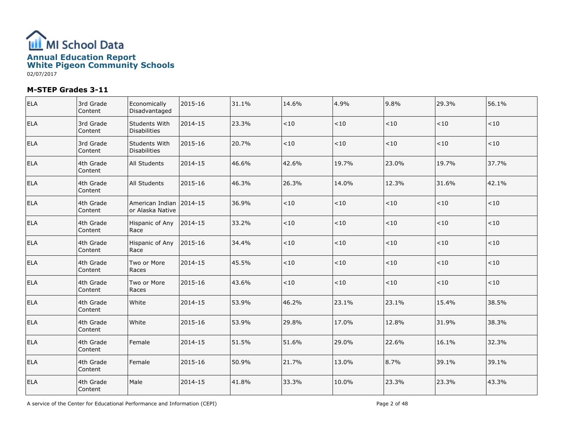

| <b>ELA</b> | 3rd Grade<br>Content | Economically<br>Disadvantaged                 | 2015-16 | 31.1% | 14.6%   | 4.9%  | 9.8%  | 29.3% | 56.1%   |
|------------|----------------------|-----------------------------------------------|---------|-------|---------|-------|-------|-------|---------|
| <b>ELA</b> | 3rd Grade<br>Content | Students With<br><b>Disabilities</b>          | 2014-15 | 23.3% | $<10$   | < 10  | < 10  | < 10  | ${<}10$ |
| <b>ELA</b> | 3rd Grade<br>Content | Students With<br><b>Disabilities</b>          | 2015-16 | 20.7% | $<10$   | < 10  | < 10  | < 10  | $<10$   |
| <b>ELA</b> | 4th Grade<br>Content | All Students                                  | 2014-15 | 46.6% | 42.6%   | 19.7% | 23.0% | 19.7% | 37.7%   |
| <b>ELA</b> | 4th Grade<br>Content | All Students                                  | 2015-16 | 46.3% | 26.3%   | 14.0% | 12.3% | 31.6% | 42.1%   |
| ELA        | 4th Grade<br>Content | American Indian 12014-15<br>lor Alaska Native |         | 36.9% | < 10    | ~10   | <10   | ~10   | ~10     |
| <b>ELA</b> | 4th Grade<br>Content | Hispanic of Any<br>Race                       | 2014-15 | 33.2% | $<\!10$ | < 10  | < 10  | < 10  | $<10$   |
| <b>ELA</b> | 4th Grade<br>Content | Hispanic of Any<br>Race                       | 2015-16 | 34.4% | $<\!10$ | < 10  | < 10  | < 10  | $<10$   |
| <b>ELA</b> | 4th Grade<br>Content | Two or More<br>Races                          | 2014-15 | 45.5% | $<\!10$ | < 10  | < 10  | < 10  | $<10$   |
| <b>ELA</b> | 4th Grade<br>Content | Two or More<br>Races                          | 2015-16 | 43.6% | < 10    | < 10  | < 10  | < 10  | $<10$   |
| <b>ELA</b> | 4th Grade<br>Content | White                                         | 2014-15 | 53.9% | 46.2%   | 23.1% | 23.1% | 15.4% | 38.5%   |
| <b>ELA</b> | 4th Grade<br>Content | White                                         | 2015-16 | 53.9% | 29.8%   | 17.0% | 12.8% | 31.9% | 38.3%   |
| <b>ELA</b> | 4th Grade<br>Content | Female                                        | 2014-15 | 51.5% | 51.6%   | 29.0% | 22.6% | 16.1% | 32.3%   |
| <b>ELA</b> | 4th Grade<br>Content | Female                                        | 2015-16 | 50.9% | 21.7%   | 13.0% | 8.7%  | 39.1% | 39.1%   |
| <b>ELA</b> | 4th Grade<br>Content | Male                                          | 2014-15 | 41.8% | 33.3%   | 10.0% | 23.3% | 23.3% | 43.3%   |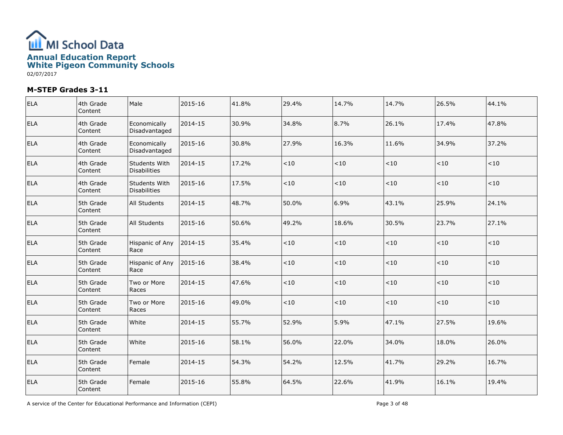

| <b>ELA</b> | 4th Grade<br>Content | Male                          | 2015-16 | 41.8% | 29.4% | 14.7% | 14.7%  | 26.5%   | 44.1% |
|------------|----------------------|-------------------------------|---------|-------|-------|-------|--------|---------|-------|
| <b>ELA</b> | 4th Grade<br>Content | Economically<br>Disadvantaged | 2014-15 | 30.9% | 34.8% | 8.7%  | 26.1%  | 17.4%   | 47.8% |
| <b>ELA</b> | 4th Grade<br>Content | Economically<br>Disadvantaged | 2015-16 | 30.8% | 27.9% | 16.3% | 11.6%  | 34.9%   | 37.2% |
| <b>ELA</b> | 4th Grade<br>Content | Students With<br>Disabilities | 2014-15 | 17.2% | ~10   | $<10$ | <10    | $<10$   | < 10  |
| <b>ELA</b> | 4th Grade<br>Content | Students With<br>Disabilities | 2015-16 | 17.5% | $<10$ | $<10$ | $<$ 10 | $<\!10$ | $<10$ |
| <b>ELA</b> | 5th Grade<br>Content | All Students                  | 2014-15 | 48.7% | 50.0% | 6.9%  | 43.1%  | 25.9%   | 24.1% |
| <b>ELA</b> | 5th Grade<br>Content | All Students                  | 2015-16 | 50.6% | 49.2% | 18.6% | 30.5%  | 23.7%   | 27.1% |
| <b>ELA</b> | 5th Grade<br>Content | Hispanic of Any<br>Race       | 2014-15 | 35.4% | $<10$ | $<10$ | < 10   | $<\!10$ | < 10  |
| <b>ELA</b> | 5th Grade<br>Content | Hispanic of Any<br>Race       | 2015-16 | 38.4% | $<10$ | $<10$ | < 10   | $<\!10$ | < 10  |
| <b>ELA</b> | 5th Grade<br>Content | Two or More<br>Races          | 2014-15 | 47.6% | < 10  | $<10$ | < 10   | $<\!10$ | $<10$ |
| <b>ELA</b> | 5th Grade<br>Content | Two or More<br>Races          | 2015-16 | 49.0% | < 10  | < 10  | $<$ 10 | < 10    | < 10  |
| <b>ELA</b> | 5th Grade<br>Content | White                         | 2014-15 | 55.7% | 52.9% | 5.9%  | 47.1%  | 27.5%   | 19.6% |
| <b>ELA</b> | 5th Grade<br>Content | White                         | 2015-16 | 58.1% | 56.0% | 22.0% | 34.0%  | 18.0%   | 26.0% |
| <b>ELA</b> | 5th Grade<br>Content | Female                        | 2014-15 | 54.3% | 54.2% | 12.5% | 41.7%  | 29.2%   | 16.7% |
| <b>ELA</b> | 5th Grade<br>Content | Female                        | 2015-16 | 55.8% | 64.5% | 22.6% | 41.9%  | 16.1%   | 19.4% |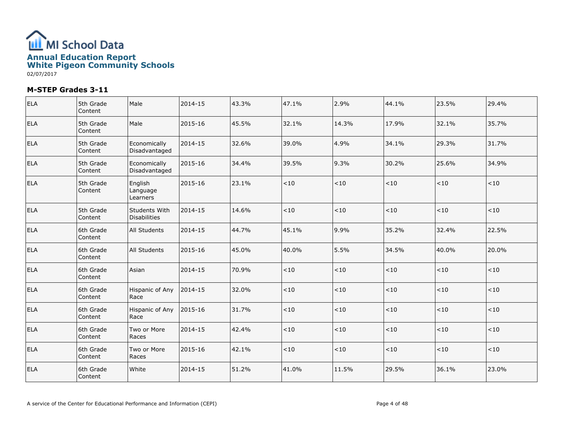

| <b>ELA</b> | 5th Grade<br>Content | Male                                 | 2014-15 | 43.3% | 47.1%   | 2.9%  | 44.1% | 23.5% | 29.4%  |
|------------|----------------------|--------------------------------------|---------|-------|---------|-------|-------|-------|--------|
| ELA        | 5th Grade<br>Content | Male                                 | 2015-16 | 45.5% | 32.1%   | 14.3% | 17.9% | 32.1% | 35.7%  |
| <b>ELA</b> | 5th Grade<br>Content | Economically<br>Disadvantaged        | 2014-15 | 32.6% | 39.0%   | 4.9%  | 34.1% | 29.3% | 31.7%  |
| <b>ELA</b> | 5th Grade<br>Content | Economically<br>Disadvantaged        | 2015-16 | 34.4% | 39.5%   | 9.3%  | 30.2% | 25.6% | 34.9%  |
| <b>ELA</b> | 5th Grade<br>Content | English<br>Language<br>Learners      | 2015-16 | 23.1% | $<10$   | < 10  | < 10  | < 10  | < 10   |
| ELA        | 5th Grade<br>Content | Students With<br><b>Disabilities</b> | 2014-15 | 14.6% | $<\!10$ | ~10   | < 10  | <10   | < 10   |
| <b>ELA</b> | 6th Grade<br>Content | All Students                         | 2014-15 | 44.7% | 45.1%   | 9.9%  | 35.2% | 32.4% | 22.5%  |
| <b>ELA</b> | 6th Grade<br>Content | <b>All Students</b>                  | 2015-16 | 45.0% | 40.0%   | 5.5%  | 34.5% | 40.0% | 20.0%  |
| <b>ELA</b> | 6th Grade<br>Content | Asian                                | 2014-15 | 70.9% | $<\!10$ | $<10$ | < 10  | < 10  | < 10   |
| <b>ELA</b> | 6th Grade<br>Content | Hispanic of Any<br>Race              | 2014-15 | 32.0% | $<10$   | < 10  | < 10  | <10   | $<$ 10 |
| <b>ELA</b> | 6th Grade<br>Content | Hispanic of Any<br>Race              | 2015-16 | 31.7% | $<\!10$ | $<10$ | < 10  | < 10  | $<10$  |
| <b>ELA</b> | 6th Grade<br>Content | Two or More<br>Races                 | 2014-15 | 42.4% | $<10$   | < 10  | < 10  | <10   | < 10   |
| ELA        | 6th Grade<br>Content | Two or More<br>Races                 | 2015-16 | 42.1% | $<10$   | $<10$ | < 10  | < 10  | $<$ 10 |
| ELA        | 6th Grade<br>Content | White                                | 2014-15 | 51.2% | 41.0%   | 11.5% | 29.5% | 36.1% | 23.0%  |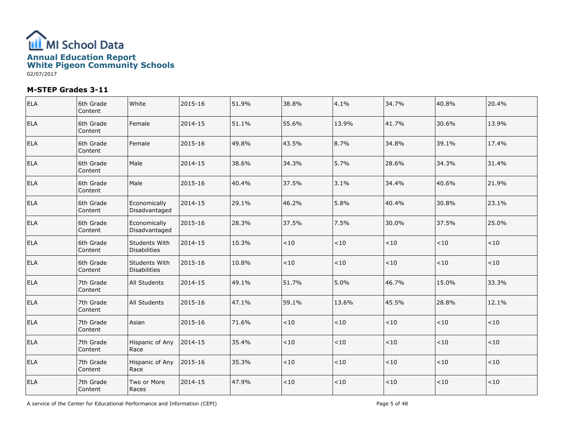

| <b>ELA</b> | 6th Grade<br>Content | White                                | 2015-16 | 51.9% | 38.8% | 4.1%  | 34.7%  | 40.8%   | 20.4% |
|------------|----------------------|--------------------------------------|---------|-------|-------|-------|--------|---------|-------|
| <b>ELA</b> | 6th Grade<br>Content | Female                               | 2014-15 | 51.1% | 55.6% | 13.9% | 41.7%  | 30.6%   | 13.9% |
| <b>ELA</b> | 6th Grade<br>Content | Female                               | 2015-16 | 49.8% | 43.5% | 8.7%  | 34.8%  | 39.1%   | 17.4% |
| <b>ELA</b> | 6th Grade<br>Content | Male                                 | 2014-15 | 38.6% | 34.3% | 5.7%  | 28.6%  | 34.3%   | 31.4% |
| <b>ELA</b> | 6th Grade<br>Content | Male                                 | 2015-16 | 40.4% | 37.5% | 3.1%  | 34.4%  | 40.6%   | 21.9% |
| <b>ELA</b> | 6th Grade<br>Content | Economically<br>Disadvantaged        | 2014-15 | 29.1% | 46.2% | 5.8%  | 40.4%  | 30.8%   | 23.1% |
| <b>ELA</b> | 6th Grade<br>Content | Economically<br>Disadvantaged        | 2015-16 | 28.3% | 37.5% | 7.5%  | 30.0%  | 37.5%   | 25.0% |
| <b>ELA</b> | 6th Grade<br>Content | <b>Students With</b><br>Disabilities | 2014-15 | 10.3% | < 10  | $<10$ | < 10   | $<10$   | < 10  |
| <b>ELA</b> | 6th Grade<br>Content | Students With<br>Disabilities        | 2015-16 | 10.8% | $<10$ | $<10$ | <10    | < 10    | < 10  |
| <b>ELA</b> | 7th Grade<br>Content | All Students                         | 2014-15 | 49.1% | 51.7% | 5.0%  | 46.7%  | 15.0%   | 33.3% |
| <b>ELA</b> | 7th Grade<br>Content | All Students                         | 2015-16 | 47.1% | 59.1% | 13.6% | 45.5%  | 28.8%   | 12.1% |
| <b>ELA</b> | 7th Grade<br>Content | Asian                                | 2015-16 | 71.6% | $<10$ | < 10  | < 10   | ~10     | < 10  |
| <b>ELA</b> | 7th Grade<br>Content | Hispanic of Any<br>Race              | 2014-15 | 35.4% | < 10  | $<10$ | <10    | $<10$   | < 10  |
| <b>ELA</b> | 7th Grade<br>Content | Hispanic of Any<br>Race              | 2015-16 | 35.3% | < 10  | $<10$ | $<$ 10 | $<\!10$ | < 10  |
| <b>ELA</b> | 7th Grade<br>Content | Two or More<br>Races                 | 2014-15 | 47.9% | $<10$ | $<10$ | $<$ 10 | $<\!10$ | < 10  |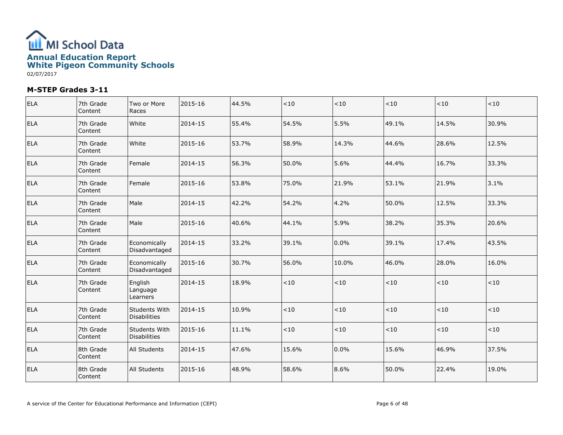

| ELA        | 7th Grade<br>Content | Two or More<br>Races                 | 2015-16 | 44.5% | < 10  | $<10$ | ~10   | <10   | ~10     |
|------------|----------------------|--------------------------------------|---------|-------|-------|-------|-------|-------|---------|
| <b>ELA</b> | 7th Grade<br>Content | White                                | 2014-15 | 55.4% | 54.5% | 5.5%  | 49.1% | 14.5% | 30.9%   |
| ELA        | 7th Grade<br>Content | White                                | 2015-16 | 53.7% | 58.9% | 14.3% | 44.6% | 28.6% | 12.5%   |
| ELA        | 7th Grade<br>Content | Female                               | 2014-15 | 56.3% | 50.0% | 5.6%  | 44.4% | 16.7% | 33.3%   |
| <b>ELA</b> | 7th Grade<br>Content | Female                               | 2015-16 | 53.8% | 75.0% | 21.9% | 53.1% | 21.9% | 3.1%    |
| ELA        | 7th Grade<br>Content | Male                                 | 2014-15 | 42.2% | 54.2% | 4.2%  | 50.0% | 12.5% | 33.3%   |
| <b>ELA</b> | 7th Grade<br>Content | Male                                 | 2015-16 | 40.6% | 44.1% | 5.9%  | 38.2% | 35.3% | 20.6%   |
| ELA        | 7th Grade<br>Content | Economically<br>Disadvantaged        | 2014-15 | 33.2% | 39.1% | 0.0%  | 39.1% | 17.4% | 43.5%   |
| ELA        | 7th Grade<br>Content | Economically<br>Disadvantaged        | 2015-16 | 30.7% | 56.0% | 10.0% | 46.0% | 28.0% | 16.0%   |
| ELA        | 7th Grade<br>Content | English<br>Language<br>Learners      | 2014-15 | 18.9% | $<10$ | $<10$ | ~10   | ~10   | $<\!10$ |
| ELA        | 7th Grade<br>Content | Students With<br><b>Disabilities</b> | 2014-15 | 10.9% | < 10  | $<10$ | ~10   | < 10  | < 10    |
| ELA        | 7th Grade<br>Content | Students With<br><b>Disabilities</b> | 2015-16 | 11.1% | < 10  | ~10   | < 10  | < 10  | $<10$   |
| <b>ELA</b> | 8th Grade<br>Content | All Students                         | 2014-15 | 47.6% | 15.6% | 0.0%  | 15.6% | 46.9% | 37.5%   |
| ELA        | 8th Grade<br>Content | All Students                         | 2015-16 | 48.9% | 58.6% | 8.6%  | 50.0% | 22.4% | 19.0%   |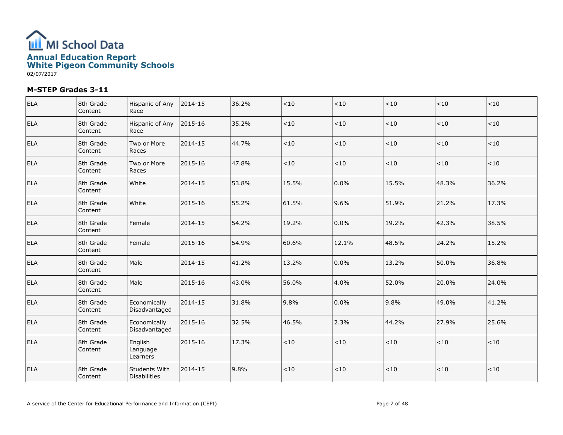

| <b>ELA</b> | 8th Grade<br>Content | Hispanic of Any<br>Race              | 2014-15 | 36.2% | $<10$   | $<10$    | < 10  | <10   | ~10    |
|------------|----------------------|--------------------------------------|---------|-------|---------|----------|-------|-------|--------|
| <b>ELA</b> | 8th Grade<br>Content | Hispanic of Any<br>Race              | 2015-16 | 35.2% | < 10    | ${<}10$  | < 10  | < 10  | $<$ 10 |
| <b>ELA</b> | 8th Grade<br>Content | Two or More<br>Races                 | 2014-15 | 44.7% | < 10    | $ $ < 10 | < 10  | < 10  | < 10   |
| <b>ELA</b> | 8th Grade<br>Content | Two or More<br>Races                 | 2015-16 | 47.8% | $<\!10$ | ${<}10$  | < 10  | <10   | < 10   |
| <b>ELA</b> | 8th Grade<br>Content | White                                | 2014-15 | 53.8% | 15.5%   | 0.0%     | 15.5% | 48.3% | 36.2%  |
| <b>ELA</b> | 8th Grade<br>Content | White                                | 2015-16 | 55.2% | 61.5%   | 9.6%     | 51.9% | 21.2% | 17.3%  |
| <b>ELA</b> | 8th Grade<br>Content | Female                               | 2014-15 | 54.2% | 19.2%   | 0.0%     | 19.2% | 42.3% | 38.5%  |
| <b>ELA</b> | 8th Grade<br>Content | Female                               | 2015-16 | 54.9% | 60.6%   | 12.1%    | 48.5% | 24.2% | 15.2%  |
| <b>ELA</b> | 8th Grade<br>Content | Male                                 | 2014-15 | 41.2% | 13.2%   | 0.0%     | 13.2% | 50.0% | 36.8%  |
| <b>ELA</b> | 8th Grade<br>Content | Male                                 | 2015-16 | 43.0% | 56.0%   | 4.0%     | 52.0% | 20.0% | 24.0%  |
| <b>ELA</b> | 8th Grade<br>Content | Economically<br>Disadvantaged        | 2014-15 | 31.8% | 9.8%    | 0.0%     | 9.8%  | 49.0% | 41.2%  |
| <b>ELA</b> | 8th Grade<br>Content | Economically<br>Disadvantaged        | 2015-16 | 32.5% | 46.5%   | 2.3%     | 44.2% | 27.9% | 25.6%  |
| <b>ELA</b> | 8th Grade<br>Content | English<br>Language<br>Learners      | 2015-16 | 17.3% | < 10    | < 10     | < 10  | < 10  | < 10   |
| <b>ELA</b> | 8th Grade<br>Content | Students With<br><b>Disabilities</b> | 2014-15 | 9.8%  | $<10$   | $<\!10$  | < 10  | < 10  | < 10   |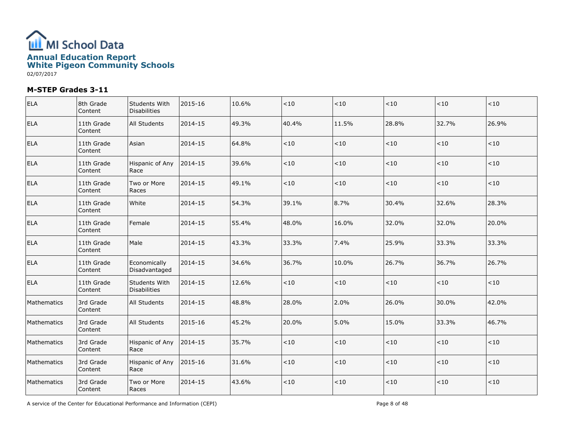

| ELA         | 8th Grade<br>Content  | Students With<br><b>Disabilities</b> | 2015-16 | 10.6% | $<\!10$ | ${<}10$ | < 10  | ~10     | ~10     |
|-------------|-----------------------|--------------------------------------|---------|-------|---------|---------|-------|---------|---------|
| <b>ELA</b>  | 11th Grade<br>Content | All Students                         | 2014-15 | 49.3% | 40.4%   | 11.5%   | 28.8% | 32.7%   | 26.9%   |
| ELA         | 11th Grade<br>Content | Asian                                | 2014-15 | 64.8% | $<10$   | ${<}10$ | ~10   | < 10    | < 10    |
| ELA         | 11th Grade<br>Content | Hispanic of Any<br>Race              | 2014-15 | 39.6% | $<10$   | $<10$   | ~10   | $<10$   | $<10$   |
| <b>ELA</b>  | 11th Grade<br>Content | Two or More<br>Races                 | 2014-15 | 49.1% | $<10$   | $<\!10$ | $<10$ | $<10$   | < 10    |
| ELA         | 11th Grade<br>Content | White                                | 2014-15 | 54.3% | 39.1%   | 8.7%    | 30.4% | 32.6%   | 28.3%   |
| <b>ELA</b>  | 11th Grade<br>Content | Female                               | 2014-15 | 55.4% | 48.0%   | 16.0%   | 32.0% | 32.0%   | 20.0%   |
| <b>ELA</b>  | 11th Grade<br>Content | Male                                 | 2014-15 | 43.3% | 33.3%   | 7.4%    | 25.9% | 33.3%   | 33.3%   |
| ELA         | 11th Grade<br>Content | Economically<br>Disadvantaged        | 2014-15 | 34.6% | 36.7%   | 10.0%   | 26.7% | 36.7%   | 26.7%   |
| <b>ELA</b>  | 11th Grade<br>Content | Students With<br><b>Disabilities</b> | 2014-15 | 12.6% | < 10    | < 10    | < 10  | < 10    | < 10    |
| Mathematics | 3rd Grade<br>Content  | <b>All Students</b>                  | 2014-15 | 48.8% | 28.0%   | 2.0%    | 26.0% | 30.0%   | 42.0%   |
| Mathematics | 3rd Grade<br>Content  | <b>All Students</b>                  | 2015-16 | 45.2% | 20.0%   | 5.0%    | 15.0% | 33.3%   | 46.7%   |
| Mathematics | 3rd Grade<br>Content  | Hispanic of Any<br>Race              | 2014-15 | 35.7% | $<10$   | ${<}10$ | ~10   | ${<}10$ | ${<}10$ |
| Mathematics | 3rd Grade<br>Content  | Hispanic of Any<br>Race              | 2015-16 | 31.6% | $<10$   | $<10$   | $<10$ | < 10    | $<$ 10  |
| Mathematics | 3rd Grade<br>Content  | Two or More<br>Races                 | 2014-15 | 43.6% | $<10$   | ${<}10$ | < 10  | < 10    | < 10    |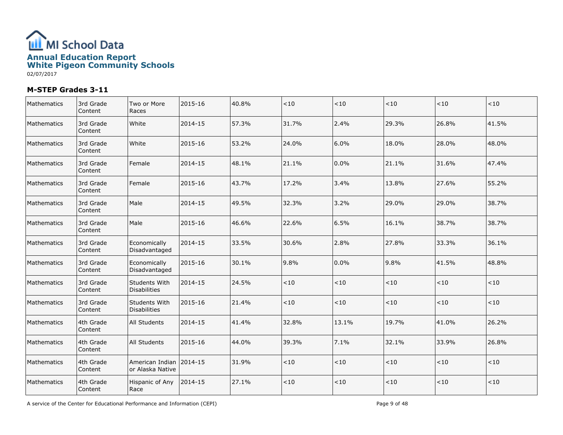

| Mathematics | 3rd Grade<br>Content | Two or More<br>Races                          | 2015-16 | 40.8% | $<10$ | ${<}10$ | < 10  | < 10  | < 10   |
|-------------|----------------------|-----------------------------------------------|---------|-------|-------|---------|-------|-------|--------|
| Mathematics | 3rd Grade<br>Content | White                                         | 2014-15 | 57.3% | 31.7% | 2.4%    | 29.3% | 26.8% | 41.5%  |
| Mathematics | 3rd Grade<br>Content | White                                         | 2015-16 | 53.2% | 24.0% | 6.0%    | 18.0% | 28.0% | 48.0%  |
| Mathematics | 3rd Grade<br>Content | Female                                        | 2014-15 | 48.1% | 21.1% | 0.0%    | 21.1% | 31.6% | 47.4%  |
| Mathematics | 3rd Grade<br>Content | Female                                        | 2015-16 | 43.7% | 17.2% | 3.4%    | 13.8% | 27.6% | 55.2%  |
| Mathematics | 3rd Grade<br>Content | Male                                          | 2014-15 | 49.5% | 32.3% | 3.2%    | 29.0% | 29.0% | 38.7%  |
| Mathematics | 3rd Grade<br>Content | Male                                          | 2015-16 | 46.6% | 22.6% | 6.5%    | 16.1% | 38.7% | 38.7%  |
| Mathematics | 3rd Grade<br>Content | Economically<br>Disadvantaged                 | 2014-15 | 33.5% | 30.6% | 2.8%    | 27.8% | 33.3% | 36.1%  |
| Mathematics | 3rd Grade<br>Content | Economically<br>Disadvantaged                 | 2015-16 | 30.1% | 9.8%  | 0.0%    | 9.8%  | 41.5% | 48.8%  |
| Mathematics | 3rd Grade<br>Content | Students With<br><b>Disabilities</b>          | 2014-15 | 24.5% | $<10$ | ${<}10$ | < 10  | ~10   | < 10   |
| Mathematics | 3rd Grade<br>Content | Students With<br><b>Disabilities</b>          | 2015-16 | 21.4% | < 10  | ${<}10$ | < 10  | < 10  | < 10   |
| Mathematics | 4th Grade<br>Content | All Students                                  | 2014-15 | 41.4% | 32.8% | 13.1%   | 19.7% | 41.0% | 26.2%  |
| Mathematics | 4th Grade<br>Content | All Students                                  | 2015-16 | 44.0% | 39.3% | 7.1%    | 32.1% | 33.9% | 26.8%  |
| Mathematics | 4th Grade<br>Content | American Indian   2014-15<br>or Alaska Native |         | 31.9% | < 10  | $<10$   | < 10  | < 10  | $<$ 10 |
| Mathematics | 4th Grade<br>Content | Hispanic of Any<br>Race                       | 2014-15 | 27.1% | < 10  | < 10    | < 10  | < 10  | < 10   |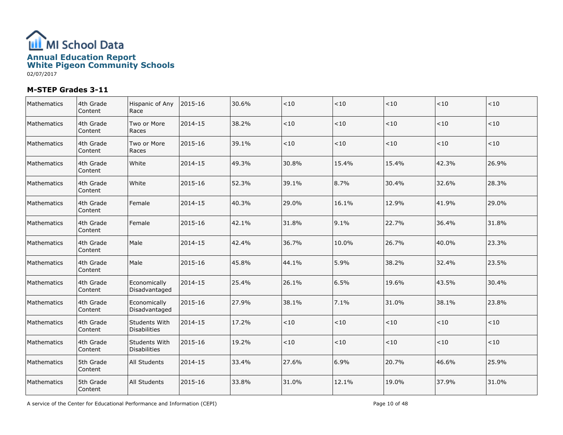

| Mathematics | 4th Grade<br>Content | Hispanic of Any<br>Race              | 2015-16 | 30.6% | $<10$   | $<10$ | < 10  | < 10  | ~10   |
|-------------|----------------------|--------------------------------------|---------|-------|---------|-------|-------|-------|-------|
| Mathematics | 4th Grade<br>Content | Two or More<br>Races                 | 2014-15 | 38.2% | $<10$   | $<10$ | < 10  | < 10  | $<10$ |
| Mathematics | 4th Grade<br>Content | Two or More<br>Races                 | 2015-16 | 39.1% | < 10    | < 10  | < 10  | < 10  | < 10  |
| Mathematics | 4th Grade<br>Content | White                                | 2014-15 | 49.3% | 30.8%   | 15.4% | 15.4% | 42.3% | 26.9% |
| Mathematics | 4th Grade<br>Content | White                                | 2015-16 | 52.3% | 39.1%   | 8.7%  | 30.4% | 32.6% | 28.3% |
| Mathematics | 4th Grade<br>Content | Female                               | 2014-15 | 40.3% | 29.0%   | 16.1% | 12.9% | 41.9% | 29.0% |
| Mathematics | 4th Grade<br>Content | Female                               | 2015-16 | 42.1% | 31.8%   | 9.1%  | 22.7% | 36.4% | 31.8% |
| Mathematics | 4th Grade<br>Content | Male                                 | 2014-15 | 42.4% | 36.7%   | 10.0% | 26.7% | 40.0% | 23.3% |
| Mathematics | 4th Grade<br>Content | Male                                 | 2015-16 | 45.8% | 44.1%   | 5.9%  | 38.2% | 32.4% | 23.5% |
| Mathematics | 4th Grade<br>Content | Economically<br>Disadvantaged        | 2014-15 | 25.4% | 26.1%   | 6.5%  | 19.6% | 43.5% | 30.4% |
| Mathematics | 4th Grade<br>Content | Economically<br>Disadvantaged        | 2015-16 | 27.9% | 38.1%   | 7.1%  | 31.0% | 38.1% | 23.8% |
| Mathematics | 4th Grade<br>Content | Students With<br><b>Disabilities</b> | 2014-15 | 17.2% | $<\!10$ | $<10$ | < 10  | < 10  | < 10  |
| Mathematics | 4th Grade<br>Content | <b>Students With</b><br>Disabilities | 2015-16 | 19.2% | < 10    | $<10$ | < 10  | < 10  | <10   |
| Mathematics | 5th Grade<br>Content | All Students                         | 2014-15 | 33.4% | 27.6%   | 6.9%  | 20.7% | 46.6% | 25.9% |
| Mathematics | 5th Grade<br>Content | All Students                         | 2015-16 | 33.8% | 31.0%   | 12.1% | 19.0% | 37.9% | 31.0% |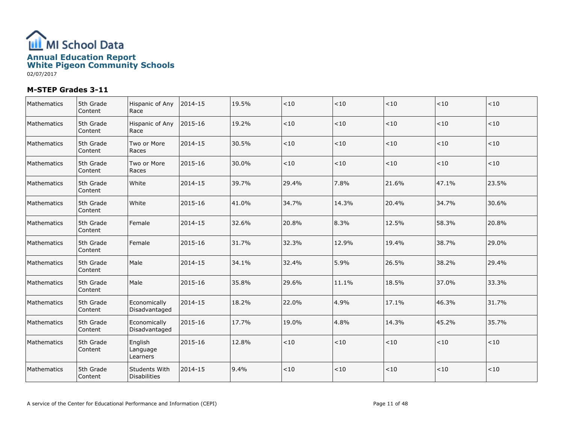

| Mathematics | 5th Grade<br>Content | Hispanic of Any<br>Race              | 2014-15 | 19.5% | $<10$ | $<10$ | ~10   | < 10  | < 10  |
|-------------|----------------------|--------------------------------------|---------|-------|-------|-------|-------|-------|-------|
| Mathematics | 5th Grade<br>Content | Hispanic of Any<br>Race              | 2015-16 | 19.2% | < 10  | < 10  | < 10  | < 10  | < 10  |
| Mathematics | 5th Grade<br>Content | Two or More<br>Races                 | 2014-15 | 30.5% | $<10$ | $<10$ | < 10  | < 10  | $<10$ |
| Mathematics | 5th Grade<br>Content | Two or More<br>Races                 | 2015-16 | 30.0% | $<10$ | $<10$ | < 10  | < 10  | < 10  |
| Mathematics | 5th Grade<br>Content | White                                | 2014-15 | 39.7% | 29.4% | 7.8%  | 21.6% | 47.1% | 23.5% |
| Mathematics | 5th Grade<br>Content | White                                | 2015-16 | 41.0% | 34.7% | 14.3% | 20.4% | 34.7% | 30.6% |
| Mathematics | 5th Grade<br>Content | Female                               | 2014-15 | 32.6% | 20.8% | 8.3%  | 12.5% | 58.3% | 20.8% |
| Mathematics | 5th Grade<br>Content | l Female                             | 2015-16 | 31.7% | 32.3% | 12.9% | 19.4% | 38.7% | 29.0% |
| Mathematics | 5th Grade<br>Content | Male                                 | 2014-15 | 34.1% | 32.4% | 5.9%  | 26.5% | 38.2% | 29.4% |
| Mathematics | 5th Grade<br>Content | Male                                 | 2015-16 | 35.8% | 29.6% | 11.1% | 18.5% | 37.0% | 33.3% |
| Mathematics | 5th Grade<br>Content | Economically<br>Disadvantaged        | 2014-15 | 18.2% | 22.0% | 4.9%  | 17.1% | 46.3% | 31.7% |
| Mathematics | 5th Grade<br>Content | Economically<br>Disadvantaged        | 2015-16 | 17.7% | 19.0% | 4.8%  | 14.3% | 45.2% | 35.7% |
| Mathematics | 5th Grade<br>Content | English<br>Language<br>Learners      | 2015-16 | 12.8% | $<10$ | $<10$ | < 10  | $<10$ | $<10$ |
| Mathematics | 5th Grade<br>Content | <b>Students With</b><br>Disabilities | 2014-15 | 9.4%  | < 10  | < 10  | < 10  | < 10  | $<10$ |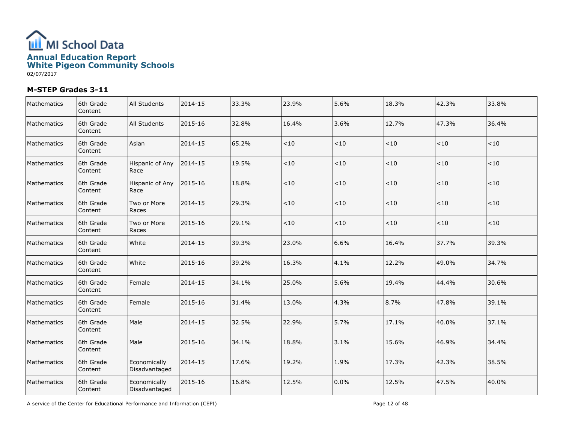

| Mathematics | 6th Grade<br>Content | All Students                  | 2014-15 | 33.3% | 23.9%   | 5.6%    | 18.3% | 42.3% | 33.8% |
|-------------|----------------------|-------------------------------|---------|-------|---------|---------|-------|-------|-------|
| Mathematics | 6th Grade<br>Content | All Students                  | 2015-16 | 32.8% | 16.4%   | 3.6%    | 12.7% | 47.3% | 36.4% |
| Mathematics | 6th Grade<br>Content | Asian                         | 2014-15 | 65.2% | $<\!10$ | $<10$   | < 10  | < 10  | < 10  |
| Mathematics | 6th Grade<br>Content | Hispanic of Any<br>Race       | 2014-15 | 19.5% | $<10$   | $<10$   | ~10   | < 10  | $<10$ |
| Mathematics | 6th Grade<br>Content | Hispanic of Any<br>Race       | 2015-16 | 18.8% | < 10    | < 10    | < 10  | < 10  | < 10  |
| Mathematics | 6th Grade<br>Content | Two or More<br>Races          | 2014-15 | 29.3% | $<\!10$ | $<10$   | < 10  | < 10  | < 10  |
| Mathematics | 6th Grade<br>Content | Two or More<br>Races          | 2015-16 | 29.1% | $<\!10$ | $<\!10$ | < 10  | < 10  | < 10  |
| Mathematics | 6th Grade<br>Content | White                         | 2014-15 | 39.3% | 23.0%   | 6.6%    | 16.4% | 37.7% | 39.3% |
| Mathematics | 6th Grade<br>Content | White                         | 2015-16 | 39.2% | 16.3%   | 4.1%    | 12.2% | 49.0% | 34.7% |
| Mathematics | 6th Grade<br>Content | Female                        | 2014-15 | 34.1% | 25.0%   | 5.6%    | 19.4% | 44.4% | 30.6% |
| Mathematics | 6th Grade<br>Content | l Female                      | 2015-16 | 31.4% | 13.0%   | 4.3%    | 8.7%  | 47.8% | 39.1% |
| Mathematics | 6th Grade<br>Content | Male                          | 2014-15 | 32.5% | 22.9%   | 5.7%    | 17.1% | 40.0% | 37.1% |
| Mathematics | 6th Grade<br>Content | Male                          | 2015-16 | 34.1% | 18.8%   | 3.1%    | 15.6% | 46.9% | 34.4% |
| Mathematics | 6th Grade<br>Content | Economically<br>Disadvantaged | 2014-15 | 17.6% | 19.2%   | 1.9%    | 17.3% | 42.3% | 38.5% |
| Mathematics | 6th Grade<br>Content | Economically<br>Disadvantaged | 2015-16 | 16.8% | 12.5%   | 0.0%    | 12.5% | 47.5% | 40.0% |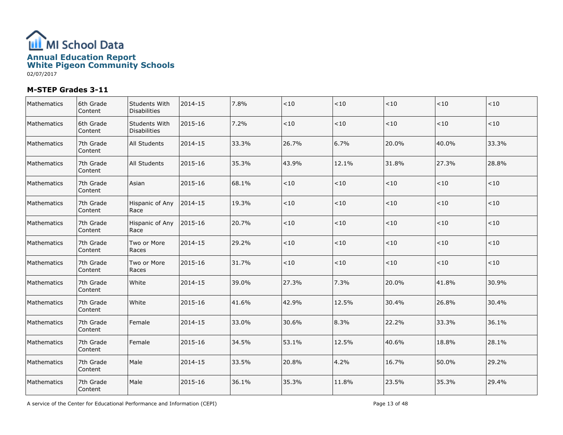

| Mathematics | 6th Grade<br>Content | Students With<br>Disabilities | 2014-15 | 7.8%  | $<\!10$ | $<10$   | < 10  | < 10  | < 10    |
|-------------|----------------------|-------------------------------|---------|-------|---------|---------|-------|-------|---------|
| Mathematics | 6th Grade<br>Content | Students With<br>Disabilities | 2015-16 | 7.2%  | $<\!10$ | < 10    | < 10  | < 10  | $<\!10$ |
| Mathematics | 7th Grade<br>Content | All Students                  | 2014-15 | 33.3% | 26.7%   | 6.7%    | 20.0% | 40.0% | 33.3%   |
| Mathematics | 7th Grade<br>Content | <b>All Students</b>           | 2015-16 | 35.3% | 43.9%   | 12.1%   | 31.8% | 27.3% | 28.8%   |
| Mathematics | 7th Grade<br>Content | Asian                         | 2015-16 | 68.1% | $<10$   | < 10    | < 10  | < 10  | < 10    |
| Mathematics | 7th Grade<br>Content | Hispanic of Any<br>Race       | 2014-15 | 19.3% | $<\!10$ | $<10$   | < 10  | < 10  | $<10$   |
| Mathematics | 7th Grade<br>Content | Hispanic of Any<br>Race       | 2015-16 | 20.7% | $<10$   | < 10    | < 10  | < 10  | < 10    |
| Mathematics | 7th Grade<br>Content | Two or More<br>Races          | 2014-15 | 29.2% | $<10$   | ${<}10$ | < 10  | $<10$ | $<10$   |
| Mathematics | 7th Grade<br>Content | Two or More<br>Races          | 2015-16 | 31.7% | $<10$   | < 10    | < 10  | < 10  | < 10    |
| Mathematics | 7th Grade<br>Content | White                         | 2014-15 | 39.0% | 27.3%   | 7.3%    | 20.0% | 41.8% | 30.9%   |
| Mathematics | 7th Grade<br>Content | White                         | 2015-16 | 41.6% | 42.9%   | 12.5%   | 30.4% | 26.8% | 30.4%   |
| Mathematics | 7th Grade<br>Content | Female                        | 2014-15 | 33.0% | 30.6%   | 8.3%    | 22.2% | 33.3% | 36.1%   |
| Mathematics | 7th Grade<br>Content | Female                        | 2015-16 | 34.5% | 53.1%   | 12.5%   | 40.6% | 18.8% | 28.1%   |
| Mathematics | 7th Grade<br>Content | Male                          | 2014-15 | 33.5% | 20.8%   | 4.2%    | 16.7% | 50.0% | 29.2%   |
| Mathematics | 7th Grade<br>Content | Male                          | 2015-16 | 36.1% | 35.3%   | 11.8%   | 23.5% | 35.3% | 29.4%   |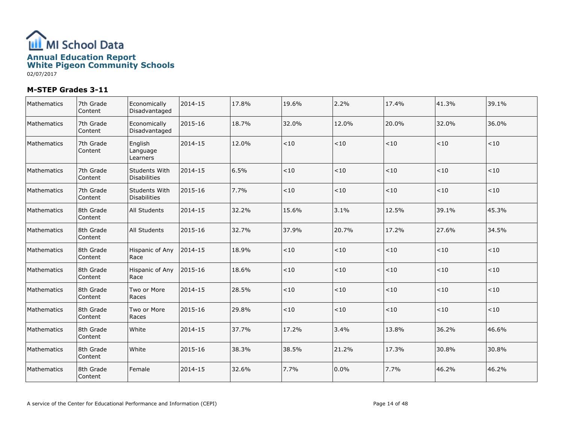

| Mathematics | 7th Grade<br>Content | Economically<br>Disadvantaged        | 2014-15 | 17.8% | 19.6% | 2.2%    | 17.4% | 41.3% | 39.1%   |
|-------------|----------------------|--------------------------------------|---------|-------|-------|---------|-------|-------|---------|
| Mathematics | 7th Grade<br>Content | Economically<br>Disadvantaged        | 2015-16 | 18.7% | 32.0% | 12.0%   | 20.0% | 32.0% | 36.0%   |
| Mathematics | 7th Grade<br>Content | English<br>Language<br>Learners      | 2014-15 | 12.0% | < 10  | < 10    | < 10  | < 10  | < 10    |
| Mathematics | 7th Grade<br>Content | Students With<br><b>Disabilities</b> | 2014-15 | 6.5%  | $<10$ | ${<}10$ | ~10   | $<10$ | $<\!10$ |
| Mathematics | 7th Grade<br>Content | Students With<br><b>Disabilities</b> | 2015-16 | 7.7%  | < 10  | < 10    | ~10   | < 10  | $<$ 10  |
| Mathematics | 8th Grade<br>Content | <b>All Students</b>                  | 2014-15 | 32.2% | 15.6% | 3.1%    | 12.5% | 39.1% | 45.3%   |
| Mathematics | 8th Grade<br>Content | <b>All Students</b>                  | 2015-16 | 32.7% | 37.9% | 20.7%   | 17.2% | 27.6% | 34.5%   |
| Mathematics | 8th Grade<br>Content | Hispanic of Any<br>Race              | 2014-15 | 18.9% | < 10  | $<10$   | < 10  | < 10  | < 10    |
| Mathematics | 8th Grade<br>Content | Hispanic of Any<br>Race              | 2015-16 | 18.6% | $<10$ | $<10$   | $<10$ | < 10  | < 10    |
| Mathematics | 8th Grade<br>Content | Two or More<br>Races                 | 2014-15 | 28.5% | < 10  | $<\!10$ | < 10  | < 10  | < 10    |
| Mathematics | 8th Grade<br>Content | Two or More<br>Races                 | 2015-16 | 29.8% | $<10$ | <10     | < 10  | < 10  | $<\!10$ |
| Mathematics | 8th Grade<br>Content | White                                | 2014-15 | 37.7% | 17.2% | 3.4%    | 13.8% | 36.2% | 46.6%   |
| Mathematics | 8th Grade<br>Content | White                                | 2015-16 | 38.3% | 38.5% | 21.2%   | 17.3% | 30.8% | 30.8%   |
| Mathematics | 8th Grade<br>Content | Female                               | 2014-15 | 32.6% | 7.7%  | 0.0%    | 7.7%  | 46.2% | 46.2%   |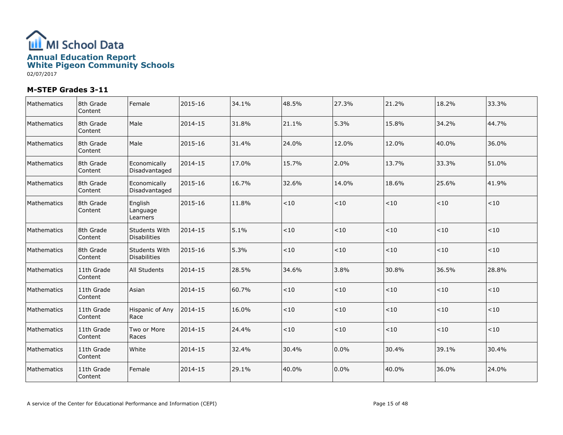

| Mathematics | 8th Grade<br>Content  | Female                          | 2015-16 | 34.1% | 48.5% | 27.3%   | 21.2% | 18.2%  | 33.3%   |
|-------------|-----------------------|---------------------------------|---------|-------|-------|---------|-------|--------|---------|
| Mathematics | 8th Grade<br>Content  | Male                            | 2014-15 | 31.8% | 21.1% | 5.3%    | 15.8% | 34.2%  | 44.7%   |
| Mathematics | 8th Grade<br>Content  | Male                            | 2015-16 | 31.4% | 24.0% | 12.0%   | 12.0% | 40.0%  | 36.0%   |
| Mathematics | 8th Grade<br>Content  | Economically<br>Disadvantaged   | 2014-15 | 17.0% | 15.7% | 2.0%    | 13.7% | 33.3%  | 51.0%   |
| Mathematics | 8th Grade<br>Content  | Economically<br>Disadvantaged   | 2015-16 | 16.7% | 32.6% | 14.0%   | 18.6% | 25.6%  | 41.9%   |
| Mathematics | 8th Grade<br>Content  | English<br>Language<br>Learners | 2015-16 | 11.8% | <10   | < 10    | < 10  | $<$ 10 | $<\!10$ |
| Mathematics | 8th Grade<br>Content  | Students With<br>Disabilities   | 2014-15 | 5.1%  | < 10  | $<10$   | < 10  | $<$ 10 | < 10    |
| Mathematics | 8th Grade<br>Content  | Students With<br>Disabilities   | 2015-16 | 5.3%  | < 10  | < 10    | < 10  | < 10   | < 10    |
| Mathematics | 11th Grade<br>Content | All Students                    | 2014-15 | 28.5% | 34.6% | 3.8%    | 30.8% | 36.5%  | 28.8%   |
| Mathematics | 11th Grade<br>Content | Asian                           | 2014-15 | 60.7% | < 10  | $<\!10$ | < 10  | < 10   | $<$ 10  |
| Mathematics | 11th Grade<br>Content | Hispanic of Any<br>Race         | 2014-15 | 16.0% | < 10  | $<\!10$ | $<10$ | < 10   | $<10$   |
| Mathematics | 11th Grade<br>Content | Two or More<br>Races            | 2014-15 | 24.4% | <10   | ${<}10$ | < 10  | <10    | $<\!10$ |
| Mathematics | 11th Grade<br>Content | White                           | 2014-15 | 32.4% | 30.4% | 0.0%    | 30.4% | 39.1%  | 30.4%   |
| Mathematics | 11th Grade<br>Content | l Female                        | 2014-15 | 29.1% | 40.0% | 0.0%    | 40.0% | 36.0%  | 24.0%   |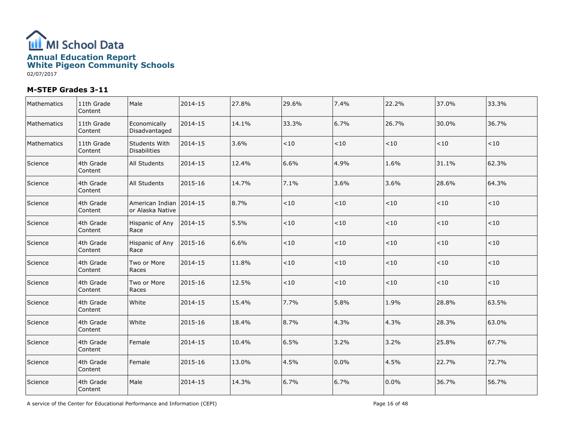

| Mathematics | 11th Grade<br>Content | Male                                 | 2014-15 | 27.8% | 29.6%   | 7.4%    | 22.2%   | 37.0% | 33.3% |
|-------------|-----------------------|--------------------------------------|---------|-------|---------|---------|---------|-------|-------|
| Mathematics | 11th Grade<br>Content | Economically<br>Disadvantaged        | 2014-15 | 14.1% | 33.3%   | 6.7%    | 26.7%   | 30.0% | 36.7% |
| Mathematics | 11th Grade<br>Content | Students With<br>Disabilities        | 2014-15 | 3.6%  | < 10    | < 10    | < 10    | < 10  | < 10  |
| Science     | 4th Grade<br>Content  | <b>All Students</b>                  | 2014-15 | 12.4% | 6.6%    | 4.9%    | 1.6%    | 31.1% | 62.3% |
| Science     | 4th Grade<br>Content  | All Students                         | 2015-16 | 14.7% | 7.1%    | 3.6%    | 3.6%    | 28.6% | 64.3% |
| Science     | 4th Grade<br>Content  | American Indian<br>lor Alaska Native | 2014-15 | 8.7%  | $<10$   | < 10    | ~10     | ~10   | ~10   |
| Science     | 4th Grade<br>Content  | Hispanic of Any<br>Race              | 2014-15 | 5.5%  | $<10$   | $<10$   | < 10    | < 10  | < 10  |
| Science     | 4th Grade<br>Content  | Hispanic of Any<br>Race              | 2015-16 | 6.6%  | $<\!10$ | $<\!10$ | < 10    | < 10  | < 10  |
| Science     | 4th Grade<br>Content  | Two or More<br>Races                 | 2014-15 | 11.8% | $<\!10$ | $<\!10$ | < 10    | < 10  | < 10  |
| Science     | 4th Grade<br>Content  | Two or More<br>Races                 | 2015-16 | 12.5% | $<10$   | $<10$   | ~10     | < 10  | < 10  |
| Science     | 4th Grade<br>Content  | White                                | 2014-15 | 15.4% | 7.7%    | 5.8%    | 1.9%    | 28.8% | 63.5% |
| Science     | 4th Grade<br>Content  | White                                | 2015-16 | 18.4% | 8.7%    | 4.3%    | 4.3%    | 28.3% | 63.0% |
| Science     | 4th Grade<br>Content  | Female                               | 2014-15 | 10.4% | 6.5%    | 3.2%    | 3.2%    | 25.8% | 67.7% |
| Science     | 4th Grade<br>Content  | Female                               | 2015-16 | 13.0% | 4.5%    | 0.0%    | 4.5%    | 22.7% | 72.7% |
| Science     | 4th Grade<br>Content  | Male                                 | 2014-15 | 14.3% | 6.7%    | 6.7%    | $0.0\%$ | 36.7% | 56.7% |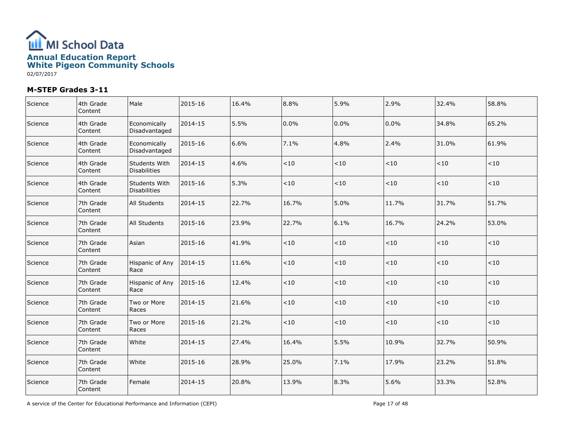

| Science | 4th Grade<br>Content | Male                          | 2015-16 | 16.4% | 8.8%  | 5.9%    | 2.9%  | 32.4% | 58.8%   |
|---------|----------------------|-------------------------------|---------|-------|-------|---------|-------|-------|---------|
| Science | 4th Grade<br>Content | Economically<br>Disadvantaged | 2014-15 | 5.5%  | 0.0%  | 0.0%    | 0.0%  | 34.8% | 65.2%   |
| Science | 4th Grade<br>Content | Economically<br>Disadvantaged | 2015-16 | 6.6%  | 7.1%  | 4.8%    | 2.4%  | 31.0% | 61.9%   |
| Science | 4th Grade<br>Content | Students With<br>Disabilities | 2014-15 | 4.6%  | < 10  | $<10$   | < 10  | <10   | ~10     |
| Science | 4th Grade<br>Content | Students With<br>Disabilities | 2015-16 | 5.3%  | < 10  | $<\!10$ | $<10$ | < 10  | < 10    |
| Science | 7th Grade<br>Content | <b>All Students</b>           | 2014-15 | 22.7% | 16.7% | 5.0%    | 11.7% | 31.7% | 51.7%   |
| Science | 7th Grade<br>Content | All Students                  | 2015-16 | 23.9% | 22.7% | 6.1%    | 16.7% | 24.2% | 53.0%   |
| Science | 7th Grade<br>Content | Asian                         | 2015-16 | 41.9% | $<10$ | $<\!10$ | $<10$ | < 10  | < 10    |
| Science | 7th Grade<br>Content | Hispanic of Any<br>Race       | 2014-15 | 11.6% | < 10  | $<\!10$ | $<10$ | <10   | $<\!10$ |
| Science | 7th Grade<br>Content | Hispanic of Any<br>Race       | 2015-16 | 12.4% | < 10  | < 10    | < 10  | < 10  | < 10    |
| Science | 7th Grade<br>Content | Two or More<br>Races          | 2014-15 | 21.6% | < 10  | $<\!10$ | $<10$ | < 10  | $<\!10$ |
| Science | 7th Grade<br>Content | Two or More<br>Races          | 2015-16 | 21.2% | <10   | $<10$   | < 10  | <10   | < 10    |
| Science | 7th Grade<br>Content | White                         | 2014-15 | 27.4% | 16.4% | 5.5%    | 10.9% | 32.7% | 50.9%   |
| Science | 7th Grade<br>Content | White                         | 2015-16 | 28.9% | 25.0% | 7.1%    | 17.9% | 23.2% | 51.8%   |
| Science | 7th Grade<br>Content | Female                        | 2014-15 | 20.8% | 13.9% | 8.3%    | 5.6%  | 33.3% | 52.8%   |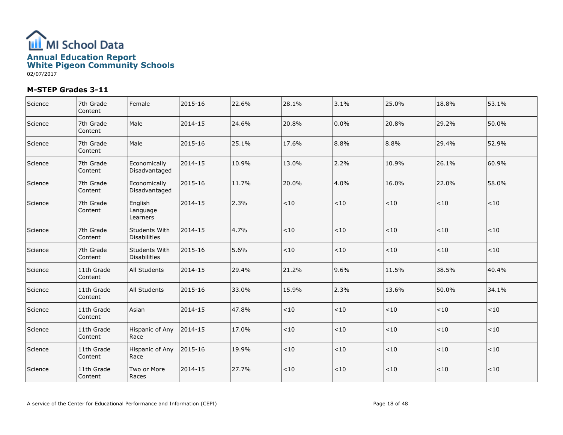

| Science | 7th Grade<br>Content  | l Female                        | 2015-16 | 22.6% | 28.1% | 3.1%    | 25.0% | 18.8%  | 53.1% |
|---------|-----------------------|---------------------------------|---------|-------|-------|---------|-------|--------|-------|
| Science | 7th Grade<br>Content  | Male                            | 2014-15 | 24.6% | 20.8% | 0.0%    | 20.8% | 29.2%  | 50.0% |
| Science | 7th Grade<br>Content  | Male                            | 2015-16 | 25.1% | 17.6% | 8.8%    | 8.8%  | 29.4%  | 52.9% |
| Science | 7th Grade<br>Content  | Economically<br>Disadvantaged   | 2014-15 | 10.9% | 13.0% | 2.2%    | 10.9% | 26.1%  | 60.9% |
| Science | 7th Grade<br>Content  | Economically<br>Disadvantaged   | 2015-16 | 11.7% | 20.0% | 4.0%    | 16.0% | 22.0%  | 58.0% |
| Science | 7th Grade<br>Content  | English<br>Language<br>Learners | 2014-15 | 2.3%  | < 10  | $<10$   | < 10  | $<$ 10 | < 10  |
| Science | 7th Grade<br>Content  | Students With<br>Disabilities   | 2014-15 | 4.7%  | < 10  | $<\!10$ | < 10  | < 10   | < 10  |
| Science | 7th Grade<br>Content  | Students With<br>Disabilities   | 2015-16 | 5.6%  | < 10  | < 10    | $<10$ | < 10   | < 10  |
| Science | 11th Grade<br>Content | All Students                    | 2014-15 | 29.4% | 21.2% | 9.6%    | 11.5% | 38.5%  | 40.4% |
| Science | 11th Grade<br>Content | <b>All Students</b>             | 2015-16 | 33.0% | 15.9% | 2.3%    | 13.6% | 50.0%  | 34.1% |
| Science | 11th Grade<br>Content | Asian                           | 2014-15 | 47.8% | < 10  | $<\!10$ | $<10$ | < 10   | < 10  |
| Science | 11th Grade<br>Content | Hispanic of Any<br>Race         | 2014-15 | 17.0% | <10   | ~10     | < 10  | <10    | $<10$ |
| Science | 11th Grade<br>Content | Hispanic of Any<br>Race         | 2015-16 | 19.9% | < 10  | $<10$   | < 10  | < 10   | < 10  |
| Science | 11th Grade<br>Content | Two or More<br>Races            | 2014-15 | 27.7% | < 10  | $<\!10$ | < 10  | < 10   | $<10$ |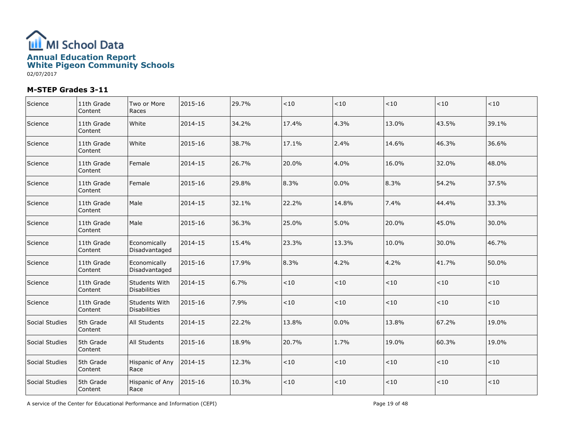

| Science        | 11th Grade<br>Content | Two or More<br>Races                 | 2015-16 | 29.7% | $<10$   | ${<}10$ | < 10  | < 10  | < 10   |
|----------------|-----------------------|--------------------------------------|---------|-------|---------|---------|-------|-------|--------|
| Science        | 11th Grade<br>Content | White                                | 2014-15 | 34.2% | 17.4%   | 4.3%    | 13.0% | 43.5% | 39.1%  |
| Science        | 11th Grade<br>Content | White                                | 2015-16 | 38.7% | 17.1%   | 2.4%    | 14.6% | 46.3% | 36.6%  |
| Science        | 11th Grade<br>Content | Female                               | 2014-15 | 26.7% | 20.0%   | 4.0%    | 16.0% | 32.0% | 48.0%  |
| Science        | 11th Grade<br>Content | Female                               | 2015-16 | 29.8% | 8.3%    | 0.0%    | 8.3%  | 54.2% | 37.5%  |
| Science        | 11th Grade<br>Content | Male                                 | 2014-15 | 32.1% | 22.2%   | 14.8%   | 7.4%  | 44.4% | 33.3%  |
| Science        | 11th Grade<br>Content | Male                                 | 2015-16 | 36.3% | 25.0%   | 5.0%    | 20.0% | 45.0% | 30.0%  |
| Science        | 11th Grade<br>Content | Economically<br>Disadvantaged        | 2014-15 | 15.4% | 23.3%   | 13.3%   | 10.0% | 30.0% | 46.7%  |
| Science        | 11th Grade<br>Content | Economically<br>Disadvantaged        | 2015-16 | 17.9% | 8.3%    | 4.2%    | 4.2%  | 41.7% | 50.0%  |
| Science        | 11th Grade<br>Content | Students With<br><b>Disabilities</b> | 2014-15 | 6.7%  | $<\!10$ | ${<}10$ | < 10  | ~10   | < 10   |
| Science        | 11th Grade<br>Content | Students With<br><b>Disabilities</b> | 2015-16 | 7.9%  | $<\!10$ | ${<}10$ | < 10  | < 10  | < 10   |
| Social Studies | 5th Grade<br>Content  | <b>All Students</b>                  | 2014-15 | 22.2% | 13.8%   | 0.0%    | 13.8% | 67.2% | 19.0%  |
| Social Studies | 5th Grade<br>Content  | <b>All Students</b>                  | 2015-16 | 18.9% | 20.7%   | 1.7%    | 19.0% | 60.3% | 19.0%  |
| Social Studies | 5th Grade<br>Content  | Hispanic of Any<br>Race              | 2014-15 | 12.3% | $<10$   | $<10$   | < 10  | < 10  | $<$ 10 |
| Social Studies | 5th Grade<br>Content  | Hispanic of Any<br>Race              | 2015-16 | 10.3% | < 10    | < 10    | < 10  | < 10  | < 10   |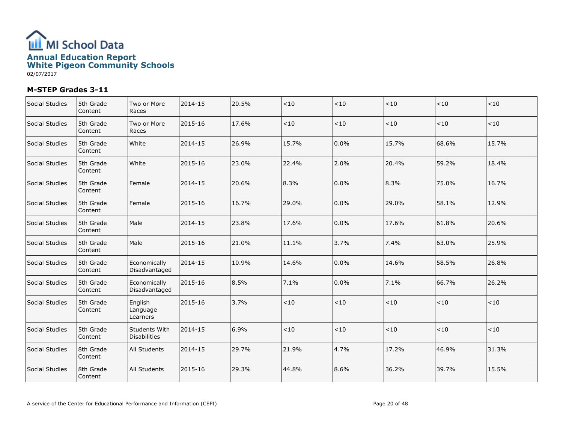

| Social Studies | 5th Grade<br>Content | Two or More<br>Races                 | 2014-15 | 20.5% | $<10$ | < 10  | ~10   | <10    | < 10    |
|----------------|----------------------|--------------------------------------|---------|-------|-------|-------|-------|--------|---------|
| Social Studies | 5th Grade<br>Content | Two or More<br>Races                 | 2015-16 | 17.6% | < 10  | $<10$ | < 10  | < 10   | < 10    |
| Social Studies | 5th Grade<br>Content | White                                | 2014-15 | 26.9% | 15.7% | 0.0%  | 15.7% | 68.6%  | 15.7%   |
| Social Studies | 5th Grade<br>Content | White                                | 2015-16 | 23.0% | 22.4% | 2.0%  | 20.4% | 59.2%  | 18.4%   |
| Social Studies | 5th Grade<br>Content | Female                               | 2014-15 | 20.6% | 8.3%  | 0.0%  | 8.3%  | 75.0%  | 16.7%   |
| Social Studies | 5th Grade<br>Content | Female                               | 2015-16 | 16.7% | 29.0% | 0.0%  | 29.0% | 58.1%  | 12.9%   |
| Social Studies | 5th Grade<br>Content | Male                                 | 2014-15 | 23.8% | 17.6% | 0.0%  | 17.6% | 61.8%  | 20.6%   |
| Social Studies | 5th Grade<br>Content | Male                                 | 2015-16 | 21.0% | 11.1% | 3.7%  | 7.4%  | 63.0%  | 25.9%   |
| Social Studies | 5th Grade<br>Content | Economically<br>Disadvantaged        | 2014-15 | 10.9% | 14.6% | 0.0%  | 14.6% | 58.5%  | 26.8%   |
| Social Studies | 5th Grade<br>Content | Economically<br>Disadvantaged        | 2015-16 | 8.5%  | 7.1%  | 0.0%  | 7.1%  | 66.7%  | 26.2%   |
| Social Studies | 5th Grade<br>Content | English<br>Language<br>Learners      | 2015-16 | 3.7%  | < 10  | < 10  | < 10  | $<$ 10 | < 10    |
| Social Studies | 5th Grade<br>Content | Students With<br><b>Disabilities</b> | 2014-15 | 6.9%  | <10   | < 10  | ~10   | <10    | $<\!10$ |
| Social Studies | 8th Grade<br>Content | All Students                         | 2014-15 | 29.7% | 21.9% | 4.7%  | 17.2% | 46.9%  | 31.3%   |
| Social Studies | 8th Grade<br>Content | <b>All Students</b>                  | 2015-16 | 29.3% | 44.8% | 8.6%  | 36.2% | 39.7%  | 15.5%   |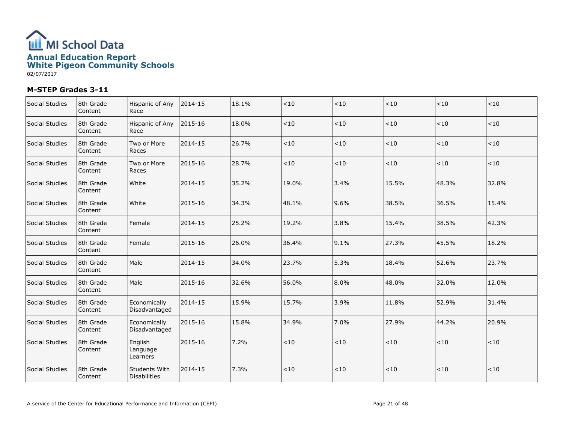

| Social Studies | 8th Grade<br>Content | Hispanic of Any<br>Race                     | 2014-15 | 18.1% | $<10$ | < 10  | ~10   | <10   | < 10  |
|----------------|----------------------|---------------------------------------------|---------|-------|-------|-------|-------|-------|-------|
| Social Studies | 8th Grade<br>Content | Hispanic of Any<br>Race                     | 2015-16 | 18.0% | < 10  | $<10$ | < 10  | < 10  | < 10  |
| Social Studies | 8th Grade<br>Content | Two or More<br>Races                        | 2014-15 | 26.7% | < 10  | < 10  | < 10  | < 10  | < 10  |
| Social Studies | 8th Grade<br>Content | Two or More<br>Races                        | 2015-16 | 28.7% | $<10$ | $<10$ | < 10  | ~10   | ~10   |
| Social Studies | 8th Grade<br>Content | White                                       | 2014-15 | 35.2% | 19.0% | 3.4%  | 15.5% | 48.3% | 32.8% |
| Social Studies | 8th Grade<br>Content | White                                       | 2015-16 | 34.3% | 48.1% | 9.6%  | 38.5% | 36.5% | 15.4% |
| Social Studies | 8th Grade<br>Content | Female                                      | 2014-15 | 25.2% | 19.2% | 3.8%  | 15.4% | 38.5% | 42.3% |
| Social Studies | 8th Grade<br>Content | Female                                      | 2015-16 | 26.0% | 36.4% | 9.1%  | 27.3% | 45.5% | 18.2% |
| Social Studies | 8th Grade<br>Content | Male                                        | 2014-15 | 34.0% | 23.7% | 5.3%  | 18.4% | 52.6% | 23.7% |
| Social Studies | 8th Grade<br>Content | Male                                        | 2015-16 | 32.6% | 56.0% | 8.0%  | 48.0% | 32.0% | 12.0% |
| Social Studies | 8th Grade<br>Content | Economically<br>Disadvantaged               | 2014-15 | 15.9% | 15.7% | 3.9%  | 11.8% | 52.9% | 31.4% |
| Social Studies | 8th Grade<br>Content | Economically<br>Disadvantaged               | 2015-16 | 15.8% | 34.9% | 7.0%  | 27.9% | 44.2% | 20.9% |
| Social Studies | 8th Grade<br>Content | English<br>Language<br>Learners             | 2015-16 | 7.2%  | $<10$ | < 10  | < 10  | $<10$ | < 10  |
| Social Studies | 8th Grade<br>Content | <b>Students With</b><br><b>Disabilities</b> | 2014-15 | 7.3%  | < 10  | $<10$ | < 10  | ~10   | < 10  |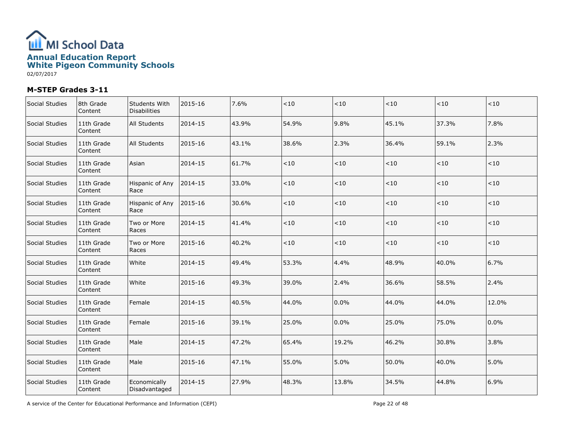

| Social Studies | 8th Grade<br>Content  | Students With<br><b>Disabilities</b> | 2015-16 | 7.6%  | < 10  | < 10    | < 10    | < 10   | < 10    |
|----------------|-----------------------|--------------------------------------|---------|-------|-------|---------|---------|--------|---------|
| Social Studies | 11th Grade<br>Content | All Students                         | 2014-15 | 43.9% | 54.9% | 9.8%    | 45.1%   | 37.3%  | 7.8%    |
| Social Studies | 11th Grade<br>Content | All Students                         | 2015-16 | 43.1% | 38.6% | 2.3%    | 36.4%   | 59.1%  | 2.3%    |
| Social Studies | 11th Grade<br>Content | Asian                                | 2014-15 | 61.7% | < 10  | $<10$   | ${<}10$ | < 10   | ${<}10$ |
| Social Studies | 11th Grade<br>Content | Hispanic of Any<br>Race              | 2014-15 | 33.0% | < 10  | $<\!10$ | $<\!10$ | $<$ 10 | $<10$   |
| Social Studies | 11th Grade<br>Content | Hispanic of Any<br>Race              | 2015-16 | 30.6% | $<10$ | $<10$   | $<10$   | < 10   | < 10    |
| Social Studies | 11th Grade<br>Content | Two or More<br>Races                 | 2014-15 | 41.4% | < 10  | $<10$   | $<10$   | < 10   | $<\!10$ |
| Social Studies | 11th Grade<br>Content | Two or More<br>Races                 | 2015-16 | 40.2% | < 10  | < 10    | < 10    | < 10   | < 10    |
| Social Studies | 11th Grade<br>Content | White                                | 2014-15 | 49.4% | 53.3% | 4.4%    | 48.9%   | 40.0%  | 6.7%    |
| Social Studies | 11th Grade<br>Content | White                                | 2015-16 | 49.3% | 39.0% | 2.4%    | 36.6%   | 58.5%  | 2.4%    |
| Social Studies | 11th Grade<br>Content | Female                               | 2014-15 | 40.5% | 44.0% | 0.0%    | 44.0%   | 44.0%  | 12.0%   |
| Social Studies | 11th Grade<br>Content | Female                               | 2015-16 | 39.1% | 25.0% | 0.0%    | 25.0%   | 75.0%  | 0.0%    |
| Social Studies | 11th Grade<br>Content | Male                                 | 2014-15 | 47.2% | 65.4% | 19.2%   | 46.2%   | 30.8%  | 3.8%    |
| Social Studies | 11th Grade<br>Content | Male                                 | 2015-16 | 47.1% | 55.0% | 5.0%    | 50.0%   | 40.0%  | 5.0%    |
| Social Studies | 11th Grade<br>Content | Economically<br>Disadvantaged        | 2014-15 | 27.9% | 48.3% | 13.8%   | 34.5%   | 44.8%  | 6.9%    |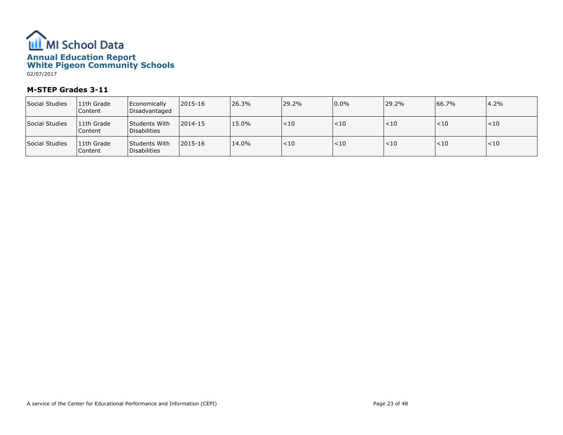

| Social Studies | 11th Grade<br>Content | Economically<br>Disadvantaged                       | 2015-16 | 26.3% | 29.2%  | $0.0\%$  | 29.2%  | 66.7%  | 4.2%   |
|----------------|-----------------------|-----------------------------------------------------|---------|-------|--------|----------|--------|--------|--------|
| Social Studies | 11th Grade<br>Content | <b>Students With</b><br><i><b>IDisabilities</b></i> | 2014-15 | 15.0% | < 10   | $ $ < 10 | < 10   | $<$ 10 | < 10   |
| Social Studies | 11th Grade<br>Content | <b>Students With</b><br><i><b>IDisabilities</b></i> | 2015-16 | 14.0% | $<$ 10 | $ $ < 10 | $<$ 10 | $<$ 10 | $<$ 10 |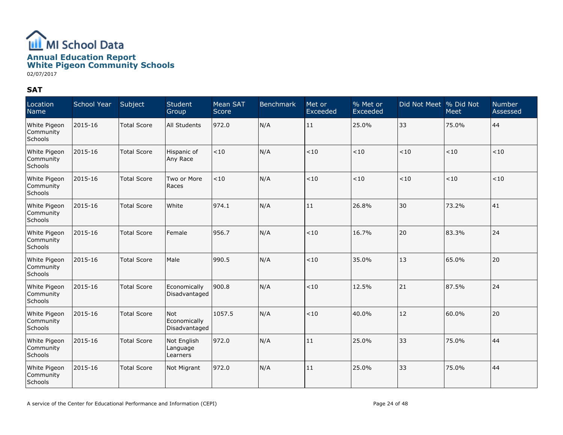

#### SAT

| Location<br>Name                     | School Year | Subject            | Student<br>Group                     | Mean SAT<br>Score <sup>'</sup> | <b>Benchmark</b> | Met or<br>Exceeded | % Met or<br>Exceeded | Did Not Meet % Did Not | <b>Meet</b> | <b>Number</b><br>Assessed |
|--------------------------------------|-------------|--------------------|--------------------------------------|--------------------------------|------------------|--------------------|----------------------|------------------------|-------------|---------------------------|
| White Pigeon<br>Community<br>Schools | 2015-16     | <b>Total Score</b> | All Students                         | 972.0                          | N/A              | 11                 | 25.0%                | 33                     | 75.0%       | 44                        |
| White Pigeon<br>Community<br>Schools | 2015-16     | <b>Total Score</b> | Hispanic of<br>Any Race              | < 10                           | N/A              | < 10               | < 10                 | < 10                   | < 10        | < 10                      |
| White Pigeon<br>Community<br>Schools | 2015-16     | <b>Total Score</b> | Two or More<br>Races                 | < 10                           | N/A              | < 10               | < 10                 | < 10                   | < 10        | < 10                      |
| White Pigeon<br>Community<br>Schools | 2015-16     | <b>Total Score</b> | White                                | 974.1                          | N/A              | 11                 | 26.8%                | 30                     | 73.2%       | 41                        |
| White Pigeon<br>Community<br>Schools | 2015-16     | <b>Total Score</b> | Female                               | 956.7                          | N/A              | < 10               | 16.7%                | 20                     | 83.3%       | 24                        |
| White Pigeon<br>Community<br>Schools | 2015-16     | <b>Total Score</b> | Male                                 | 990.5                          | N/A              | < 10               | 35.0%                | 13                     | 65.0%       | 20                        |
| White Pigeon<br>Community<br>Schools | 2015-16     | <b>Total Score</b> | Economically<br>Disadvantaged        | 900.8                          | N/A              | $<10$              | 12.5%                | 21                     | 87.5%       | 24                        |
| White Pigeon<br>Community<br>Schools | 2015-16     | <b>Total Score</b> | Not<br>Economically<br>Disadvantaged | 1057.5                         | N/A              | < 10               | 40.0%                | 12                     | 60.0%       | 20                        |
| White Pigeon<br>Community<br>Schools | 2015-16     | <b>Total Score</b> | Not English<br>Language<br>Learners  | 972.0                          | N/A              | 11                 | 25.0%                | 33                     | 75.0%       | 44                        |
| White Pigeon<br>Community<br>Schools | 2015-16     | <b>Total Score</b> | Not Migrant                          | 972.0                          | N/A              | 11                 | 25.0%                | 33                     | 75.0%       | 44                        |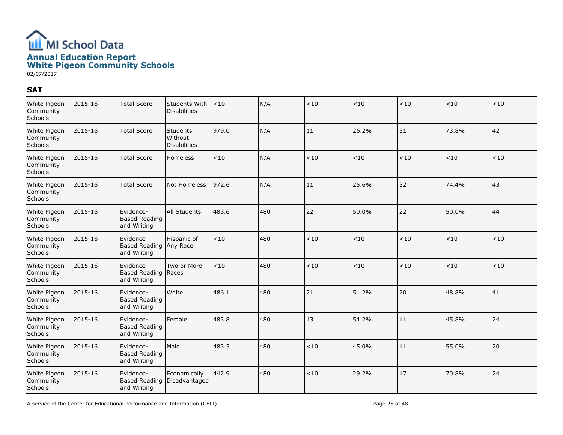

#### SAT

| White Pigeon<br>Community<br>Schools | 2015-16 | <b>Total Score</b>                                 | Students With<br>Disabilities              | < 10   | N/A | < 10  | < 10  | < 10 | < 10  | < 10 |
|--------------------------------------|---------|----------------------------------------------------|--------------------------------------------|--------|-----|-------|-------|------|-------|------|
| White Pigeon<br>Community<br>Schools | 2015-16 | <b>Total Score</b>                                 | Students<br>Without<br><b>Disabilities</b> | 979.0  | N/A | 11    | 26.2% | 31   | 73.8% | 42   |
| White Pigeon<br>Community<br>Schools | 2015-16 | <b>Total Score</b>                                 | <b>Homeless</b>                            | $<$ 10 | N/A | < 10  | < 10  | < 10 | < 10  | < 10 |
| White Pigeon<br>Community<br>Schools | 2015-16 | <b>Total Score</b>                                 | Not Homeless                               | 972.6  | N/A | 11    | 25.6% | 32   | 74.4% | 43   |
| White Pigeon<br>Community<br>Schools | 2015-16 | Evidence-<br><b>Based Reading</b><br>and Writing   | <b>All Students</b>                        | 483.6  | 480 | 22    | 50.0% | 22   | 50.0% | 44   |
| White Pigeon<br>Community<br>Schools | 2015-16 | Evidence-<br>Based Reading Any Race<br>and Writing | Hispanic of                                | <10    | 480 | < 10  | < 10  | < 10 | < 10  | < 10 |
| White Pigeon<br>Community<br>Schools | 2015-16 | Evidence-<br><b>Based Reading</b><br>and Writing   | Two or More<br>Races                       | < 10   | 480 | $<10$ | < 10  | < 10 | < 10  | < 10 |
| White Pigeon<br>Community<br>Schools | 2015-16 | Evidence-<br><b>Based Reading</b><br>and Writing   | White                                      | 486.1  | 480 | 21    | 51.2% | 20   | 48.8% | 41   |
| White Pigeon<br>Community<br>Schools | 2015-16 | Evidence-<br><b>Based Reading</b><br>and Writing   | Female                                     | 483.8  | 480 | 13    | 54.2% | 11   | 45.8% | 24   |
| White Pigeon<br>Community<br>Schools | 2015-16 | Evidence-<br><b>Based Reading</b><br>and Writing   | Male                                       | 483.5  | 480 | < 10  | 45.0% | 11   | 55.0% | 20   |
| White Pigeon<br>Community<br>Schools | 2015-16 | Evidence-<br><b>Based Reading</b><br>and Writing   | Economically<br>Disadvantaged              | 442.9  | 480 | < 10  | 29.2% | 17   | 70.8% | 24   |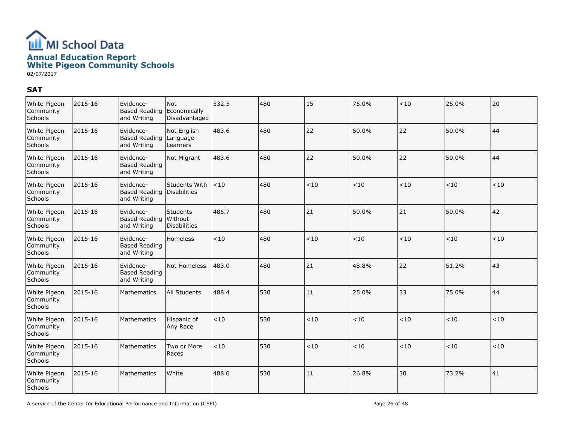

#### SAT

| White Pigeon<br>Community<br>Schools | 2015-16 | Evidence-<br><b>Based Reading</b><br>and Writing | Not<br>Economically<br>Disadvantaged         | 532.5  | 480 | 15    | 75.0% | < 10 | 25.0% | 20      |
|--------------------------------------|---------|--------------------------------------------------|----------------------------------------------|--------|-----|-------|-------|------|-------|---------|
| White Pigeon<br>Community<br>Schools | 2015-16 | Evidence-<br><b>Based Reading</b><br>and Writing | Not English<br>Language<br>Learners          | 483.6  | 480 | 22    | 50.0% | 22   | 50.0% | 44      |
| White Pigeon<br>Community<br>Schools | 2015-16 | Evidence-<br><b>Based Reading</b><br>and Writing | Not Migrant                                  | 483.6  | 480 | 22    | 50.0% | 22   | 50.0% | 44      |
| White Pigeon<br>Community<br>Schools | 2015-16 | Evidence-<br><b>Based Reading</b><br>and Writing | Students With<br>Disabilities                | < 10   | 480 | < 10  | < 10  | < 10 | < 10  | < 10    |
| White Pigeon<br>Community<br>Schools | 2015-16 | Evidence-<br><b>Based Reading</b><br>and Writing | Students<br> Without <br><b>Disabilities</b> | 485.7  | 480 | 21    | 50.0% | 21   | 50.0% | 42      |
| White Pigeon<br>Community<br>Schools | 2015-16 | Evidence-<br><b>Based Reading</b><br>and Writing | Homeless                                     | $<$ 10 | 480 | < 10  | < 10  | < 10 | < 10  | < 10    |
| White Pigeon<br>Community<br>Schools | 2015-16 | Evidence-<br><b>Based Reading</b><br>and Writing | Not Homeless                                 | 483.0  | 480 | 21    | 48.8% | 22   | 51.2% | 43      |
| White Pigeon<br>Community<br>Schools | 2015-16 | Mathematics                                      | All Students                                 | 488.4  | 530 | 11    | 25.0% | 33   | 75.0% | 44      |
| White Pigeon<br>Community<br>Schools | 2015-16 | Mathematics                                      | Hispanic of<br>Any Race                      | $<$ 10 | 530 | ~10   | < 10  | < 10 | < 10  | < 10    |
| White Pigeon<br>Community<br>Schools | 2015-16 | Mathematics                                      | Two or More<br>Races                         | < 10   | 530 | $<10$ | < 10  | < 10 | < 10  | $<\!10$ |
| White Pigeon<br>Community<br>Schools | 2015-16 | Mathematics                                      | White                                        | 488.0  | 530 | 11    | 26.8% | 30   | 73.2% | 41      |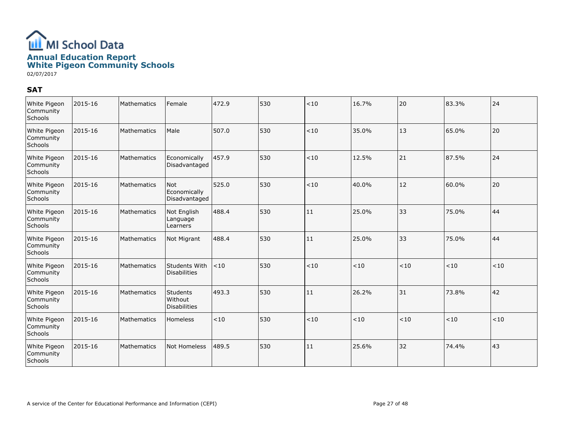

#### SAT

| White Pigeon<br>Community<br>Schools | 2015-16 | Mathematics | Female                                            | 472.9 | 530 | < 10  | 16.7% | 20   | 83.3% | 24   |
|--------------------------------------|---------|-------------|---------------------------------------------------|-------|-----|-------|-------|------|-------|------|
| White Pigeon<br>Community<br>Schools | 2015-16 | Mathematics | Male                                              | 507.0 | 530 | < 10  | 35.0% | 13   | 65.0% | 20   |
| White Pigeon<br>Community<br>Schools | 2015-16 | Mathematics | Economically<br>Disadvantaged                     | 457.9 | 530 | < 10  | 12.5% | 21   | 87.5% | 24   |
| White Pigeon<br>Community<br>Schools | 2015-16 | Mathematics | l Not<br>Economically<br>Disadvantaged            | 525.0 | 530 | ~10   | 40.0% | 12   | 60.0% | 20   |
| White Pigeon<br>Community<br>Schools | 2015-16 | Mathematics | Not English<br>Language<br>Learners               | 488.4 | 530 | 11    | 25.0% | 33   | 75.0% | 44   |
| White Pigeon<br>Community<br>Schools | 2015-16 | Mathematics | Not Migrant                                       | 488.4 | 530 | 11    | 25.0% | 33   | 75.0% | 44   |
| White Pigeon<br>Community<br>Schools | 2015-16 | Mathematics | Students With<br><b>Disabilities</b>              | < 10  | 530 | $<10$ | < 10  | < 10 | < 10  | < 10 |
| White Pigeon<br>Community<br>Schools | 2015-16 | Mathematics | <b>Students</b><br>Without<br><b>Disabilities</b> | 493.3 | 530 | 11    | 26.2% | 31   | 73.8% | 42   |
| White Pigeon<br>Community<br>Schools | 2015-16 | Mathematics | Homeless                                          | $<10$ | 530 | $<10$ | < 10  | < 10 | < 10  | < 10 |
| White Pigeon<br>Community<br>Schools | 2015-16 | Mathematics | <b>Not Homeless</b>                               | 489.5 | 530 | 11    | 25.6% | 32   | 74.4% | 43   |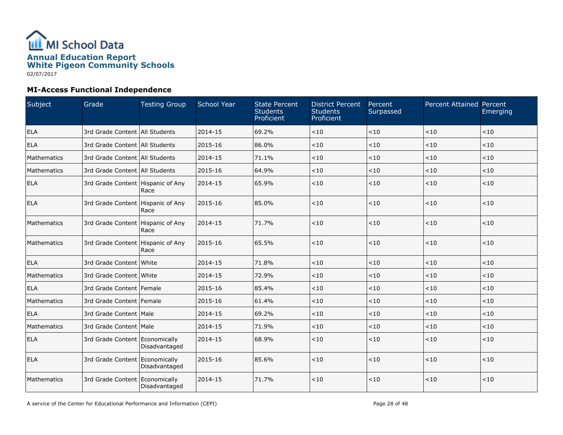

| Subject     | Grade                               | <b>Testing Group</b> | <b>School Year</b> | <b>State Percent</b><br><b>Students</b><br>Proficient | <b>District Percent</b><br><b>Students</b><br>Proficient | Percent<br>Surpassed | <b>Percent Attained Percent</b> | Emerging |
|-------------|-------------------------------------|----------------------|--------------------|-------------------------------------------------------|----------------------------------------------------------|----------------------|---------------------------------|----------|
| ELA         | 3rd Grade Content   All Students    |                      | 2014-15            | 69.2%                                                 | < 10                                                     | ~10                  | ~10                             | < 10     |
| ELA         | 3rd Grade Content   All Students    |                      | 2015-16            | 86.0%                                                 | < 10                                                     | < 10                 | < 10                            | < 10     |
| Mathematics | 3rd Grade Content   All Students    |                      | 2014-15            | 71.1%                                                 | < 10                                                     | < 10                 | < 10                            | < 10     |
| Mathematics | 3rd Grade Content   All Students    |                      | 2015-16            | 64.9%                                                 | < 10                                                     | < 10                 | < 10                            | < 10     |
| <b>ELA</b>  | 3rd Grade Content   Hispanic of Any | Race                 | 2014-15            | 65.9%                                                 | $<10$                                                    | < 10                 | < 10                            | < 10     |
| <b>ELA</b>  | 3rd Grade Content Hispanic of Any   | Race                 | 2015-16            | 85.0%                                                 | < 10                                                     | < 10                 | ~10                             | < 10     |
| Mathematics | 3rd Grade Content   Hispanic of Any | Race                 | 2014-15            | 71.7%                                                 | < 10                                                     | < 10                 | < 10                            | < 10     |
| Mathematics | 3rd Grade Content Hispanic of Any   | Race                 | 2015-16            | 65.5%                                                 | < 10                                                     | < 10                 | $<10$                           | < 10     |
| ELA         | 3rd Grade Content White             |                      | 2014-15            | 71.8%                                                 | < 10                                                     | < 10                 | < 10                            | < 10     |
| Mathematics | 3rd Grade Content White             |                      | 2014-15            | 72.9%                                                 | < 10                                                     | < 10                 | < 10                            | < 10     |
| <b>ELA</b>  | 3rd Grade Content Female            |                      | 2015-16            | 85.4%                                                 | < 10                                                     | < 10                 | < 10                            | < 10     |
| Mathematics | 3rd Grade Content   Female          |                      | 2015-16            | 61.4%                                                 | < 10                                                     | < 10                 | < 10                            | < 10     |
| <b>ELA</b>  | 3rd Grade Content   Male            |                      | 2014-15            | 69.2%                                                 | < 10                                                     | < 10                 | < 10                            | < 10     |
| Mathematics | 3rd Grade Content   Male            |                      | 2014-15            | 71.9%                                                 | < 10                                                     | < 10                 | < 10                            | < 10     |
| <b>ELA</b>  | 3rd Grade Content Economically      | Disadvantaged        | 2014-15            | 68.9%                                                 | < 10                                                     | < 10                 | $<10$                           | < 10     |
| <b>ELA</b>  | 3rd Grade Content Economically      | Disadvantaged        | 2015-16            | 85.6%                                                 | < 10                                                     | $<\!10$              | $<10$                           | < 10     |
| Mathematics | 3rd Grade Content Economically      | Disadvantaged        | 2014-15            | 71.7%                                                 | < 10                                                     | < 10                 | $<10$                           | < 10     |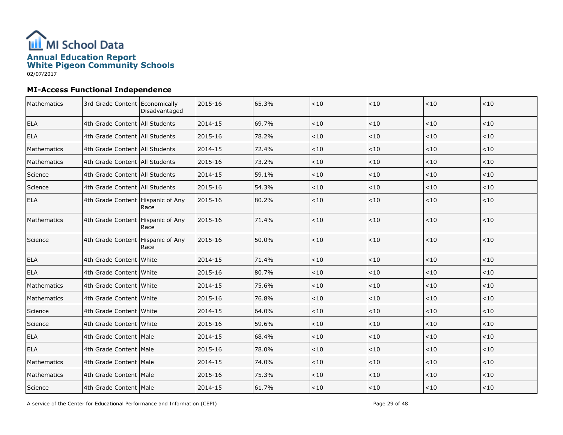

| Mathematics | 3rd Grade Content   Economically    | Disadvantaged | 2015-16 | 65.3% | < 10   | < 10    | < 10    | < 10    |
|-------------|-------------------------------------|---------------|---------|-------|--------|---------|---------|---------|
| <b>ELA</b>  | 4th Grade Content   All Students    |               | 2014-15 | 69.7% | < 10   | $<10$   | ~10     | < 10    |
| <b>ELA</b>  | 4th Grade Content All Students      |               | 2015-16 | 78.2% | < 10   | < 10    | < 10    | < 10    |
| Mathematics | 4th Grade Content   All Students    |               | 2014-15 | 72.4% | < 10   | $<10$   | < 10    | $<$ 10  |
| Mathematics | 4th Grade Content   All Students    |               | 2015-16 | 73.2% | < 10   | < 10    | < 10    | < 10    |
| Science     | 4th Grade Content   All Students    |               | 2014-15 | 59.1% | $<10$  | $<\!10$ | < 10    | $<\!10$ |
| Science     | 4th Grade Content   All Students    |               | 2015-16 | 54.3% | < 10   | $<10$   | < 10    | $<10$   |
| <b>ELA</b>  | 4th Grade Content   Hispanic of Any | Race          | 2015-16 | 80.2% | < 10   | < 10    | < 10    | < 10    |
| Mathematics | 4th Grade Content   Hispanic of Any | Race          | 2015-16 | 71.4% | < 10   | < 10    | < 10    | < 10    |
| Science     | 4th Grade Content   Hispanic of Any | Race          | 2015-16 | 50.0% | < 10   | $<10$   | $<10$   | $<10$   |
| <b>ELA</b>  | 4th Grade Content White             |               | 2014-15 | 71.4% | < 10   | $<10$   | $<10$   | $<\!10$ |
| <b>ELA</b>  | 4th Grade Content   White           |               | 2015-16 | 80.7% | < 10   | $<10$   | < 10    | < 10    |
| Mathematics | 4th Grade Content White             |               | 2014-15 | 75.6% | < 10   | < 10    | < 10    | < 10    |
| Mathematics | 4th Grade Content   White           |               | 2015-16 | 76.8% | $<10$  | $<\!10$ | $<\!10$ | $<\!10$ |
| Science     | 4th Grade Content White             |               | 2014-15 | 64.0% | < 10   | < 10    | < 10    | < 10    |
| Science     | 4th Grade Content White             |               | 2015-16 | 59.6% | $<$ 10 | $<10$   | $<$ 10  | $<$ 10  |
| <b>ELA</b>  | 4th Grade Content Male              |               | 2014-15 | 68.4% | $<10$  | < 10    | < 10    | < 10    |
| <b>ELA</b>  | 4th Grade Content Male              |               | 2015-16 | 78.0% | < 10   | < 10    | < 10    | $<10$   |
| Mathematics | 4th Grade Content   Male            |               | 2014-15 | 74.0% | < 10   | < 10    | < 10    | $<10$   |
| Mathematics | 4th Grade Content   Male            |               | 2015-16 | 75.3% | < 10   | $<10$   | < 10    | $<$ 10  |
| Science     | 4th Grade Content   Male            |               | 2014-15 | 61.7% | $<10$  | < 10    | $<$ 10  | < 10    |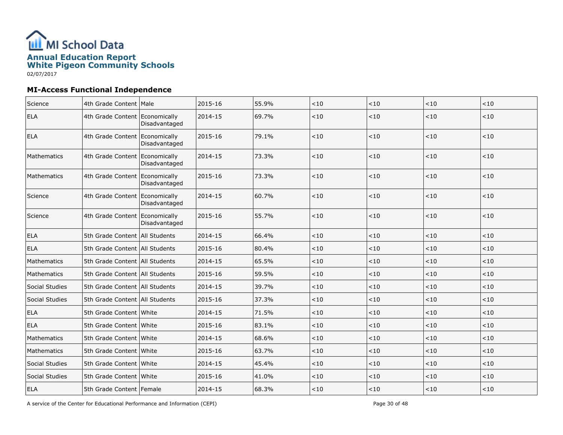

| Science        | 4th Grade Content   Male         |               | 2015-16 | 55.9% | $<10$ | ~10   | ~10    | $<\!10$ |
|----------------|----------------------------------|---------------|---------|-------|-------|-------|--------|---------|
| <b>ELA</b>     | 4th Grade Content Economically   | Disadvantaged | 2014-15 | 69.7% | $<10$ | $<10$ | $<10$  | < 10    |
| <b>ELA</b>     | 4th Grade Content Economically   | Disadvantaged | 2015-16 | 79.1% | < 10  | $<10$ | $<10$  | < 10    |
| Mathematics    | 4th Grade Content Economically   | Disadvantaged | 2014-15 | 73.3% | < 10  | $<10$ | $<10$  | < 10    |
| Mathematics    | 4th Grade Content Economically   | Disadvantaged | 2015-16 | 73.3% | < 10  | $<10$ | ~10    | < 10    |
| Science        | 4th Grade Content Economically   | Disadvantaged | 2014-15 | 60.7% | $<10$ | ~10   | ~10    | < 10    |
| Science        | 4th Grade Content Economically   | Disadvantaged | 2015-16 | 55.7% | < 10  | $<10$ | ~10    | < 10    |
| <b>ELA</b>     | 5th Grade Content   All Students |               | 2014-15 | 66.4% | $<10$ | < 10  | $<10$  | < 10    |
| <b>ELA</b>     | 5th Grade Content   All Students |               | 2015-16 | 80.4% | $<10$ | $<10$ | $<10$  | $<10$   |
| Mathematics    | 5th Grade Content All Students   |               | 2014-15 | 65.5% | < 10  | < 10  | < 10   | < 10    |
| Mathematics    | 5th Grade Content All Students   |               | 2015-16 | 59.5% | < 10  | < 10  | < 10   | < 10    |
| Social Studies | 5th Grade Content All Students   |               | 2014-15 | 39.7% | $<10$ | $<10$ | ~10    | < 10    |
| Social Studies | 5th Grade Content All Students   |               | 2015-16 | 37.3% | < 10  | < 10  | < 10   | $<\!10$ |
| <b>ELA</b>     | 5th Grade Content White          |               | 2014-15 | 71.5% | < 10  | $<10$ | < 10   | $<10$   |
| <b>ELA</b>     | 5th Grade Content White          |               | 2015-16 | 83.1% | < 10  | < 10  | $<$ 10 | < 10    |
| Mathematics    | 5th Grade Content White          |               | 2014-15 | 68.6% | < 10  | < 10  | < 10   | < 10    |
| Mathematics    | 5th Grade Content White          |               | 2015-16 | 63.7% | $<10$ | $<10$ | ~10    | < 10    |
| Social Studies | 5th Grade Content   White        |               | 2014-15 | 45.4% | < 10  | < 10  | $<10$  | $<\!10$ |
| Social Studies | 5th Grade Content   White        |               | 2015-16 | 41.0% | $<10$ | $<10$ | $<10$  | $<10$   |
| <b>ELA</b>     | 5th Grade Content   Female       |               | 2014-15 | 68.3% | < 10  | < 10  | < 10   | < 10    |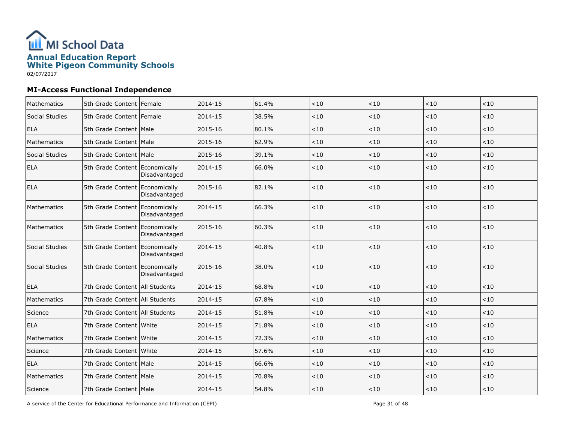

| <b>Mathematics</b> | 5th Grade Content Female         |               | 2014-15 | 61.4% | < 10    | < 10    | < 10 | < 10    |
|--------------------|----------------------------------|---------------|---------|-------|---------|---------|------|---------|
| Social Studies     | 5th Grade Content   Female       |               | 2014-15 | 38.5% | < 10    | < 10    | < 10 | $<10$   |
| <b>ELA</b>         | 5th Grade Content   Male         |               | 2015-16 | 80.1% | < 10    | < 10    | < 10 | < 10    |
| Mathematics        | 5th Grade Content Male           |               | 2015-16 | 62.9% | < 10    | $<10$   | < 10 | $<10$   |
| Social Studies     | 5th Grade Content Male           |               | 2015-16 | 39.1% | < 10    | $<10$   | < 10 | < 10    |
| <b>ELA</b>         | 5th Grade Content Economically   | Disadvantaged | 2014-15 | 66.0% | < 10    | < 10    | < 10 | $<10$   |
| ELA                | 5th Grade Content Economically   | Disadvantaged | 2015-16 | 82.1% | $<\!10$ | < 10    | ~10  | $<\!10$ |
| Mathematics        | 5th Grade Content Economically   | Disadvantaged | 2014-15 | 66.3% | < 10    | < 10    | ~10  | $<\!10$ |
| Mathematics        | 5th Grade Content Economically   | Disadvantaged | 2015-16 | 60.3% | < 10    | < 10    | ~10  | $<\!10$ |
| Social Studies     | 5th Grade Content Economically   | Disadvantaged | 2014-15 | 40.8% | $<10$   | < 10    | ~10  | $<10$   |
| Social Studies     | 5th Grade Content Economically   | Disadvantaged | 2015-16 | 38.0% | < 10    | < 10    | ~10  | $<10$   |
| <b>ELA</b>         | 7th Grade Content All Students   |               | 2014-15 | 68.8% | < 10    | < 10    | 10   | < 10    |
| Mathematics        | 7th Grade Content   All Students |               | 2014-15 | 67.8% | < 10    | < 10    | < 10 | < 10    |
| Science            | 7th Grade Content   All Students |               | 2014-15 | 51.8% | $<10$   | $<10$   | < 10 | $<10$   |
| <b>ELA</b>         | 7th Grade Content White          |               | 2014-15 | 71.8% | < 10    | < 10    | < 10 | < 10    |
| Mathematics        | 7th Grade Content White          |               | 2014-15 | 72.3% | < 10    | $<10$   | <10  | $<10$   |
| Science            | 7th Grade Content White          |               | 2014-15 | 57.6% | $<10$   | $<10$   | < 10 | $<10$   |
| <b>ELA</b>         | 7th Grade Content   Male         |               | 2014-15 | 66.6% | $<\!10$ | $<10$   | < 10 | $<\!10$ |
| Mathematics        | 7th Grade Content   Male         |               | 2014-15 | 70.8% | $<10$   | $<\!10$ | < 10 | < 10    |
| Science            | 7th Grade Content Male           |               | 2014-15 | 54.8% | < 10    | < 10    | < 10 | $<10$   |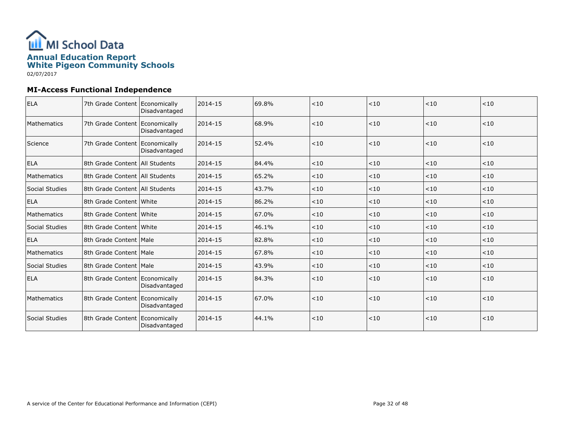

| <b>ELA</b>     | 7th Grade Content Economically   | Disadvantaged | 2014-15 | 69.8% | < 10 | < 10  | < 10 | < 10 |
|----------------|----------------------------------|---------------|---------|-------|------|-------|------|------|
| Mathematics    | 7th Grade Content Economically   | Disadvantaged | 2014-15 | 68.9% | < 10 | < 10  | < 10 | < 10 |
| Science        | 7th Grade Content Economically   | Disadvantaged | 2014-15 | 52.4% | < 10 | < 10  | < 10 | < 10 |
| <b>ELA</b>     | 8th Grade Content   All Students |               | 2014-15 | 84.4% | < 10 | < 10  | < 10 | < 10 |
| Mathematics    | 8th Grade Content   All Students |               | 2014-15 | 65.2% | < 10 | < 10  | < 10 | < 10 |
| Social Studies | 8th Grade Content   All Students |               | 2014-15 | 43.7% | < 10 | < 10  | < 10 | < 10 |
| <b>ELA</b>     | 8th Grade Content White          |               | 2014-15 | 86.2% | < 10 | < 10  | < 10 | < 10 |
| Mathematics    | 8th Grade Content White          |               | 2014-15 | 67.0% | < 10 | $<10$ | < 10 | < 10 |
| Social Studies | 8th Grade Content White          |               | 2014-15 | 46.1% | < 10 | < 10  | < 10 | < 10 |
| <b>ELA</b>     | 8th Grade Content   Male         |               | 2014-15 | 82.8% | < 10 | < 10  | < 10 | < 10 |
| Mathematics    | 8th Grade Content   Male         |               | 2014-15 | 67.8% | < 10 | < 10  | < 10 | < 10 |
| Social Studies | 8th Grade Content   Male         |               | 2014-15 | 43.9% | < 10 | < 10  | < 10 | < 10 |
| <b>ELA</b>     | 8th Grade Content Economically   | Disadvantaged | 2014-15 | 84.3% | < 10 | < 10  | < 10 | < 10 |
| Mathematics    | 8th Grade Content   Economically | Disadvantaged | 2014-15 | 67.0% | < 10 | < 10  | < 10 | < 10 |
| Social Studies | 8th Grade Content Economically   | Disadvantaged | 2014-15 | 44.1% | < 10 | < 10  | < 10 | < 10 |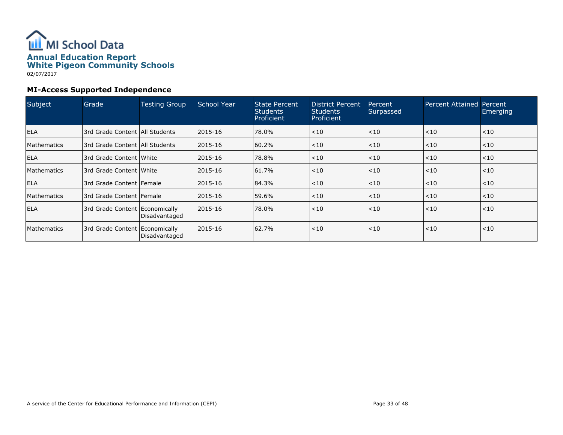

## MI-Access Supported Independence

| Subject            | Grade                            | <b>Testing Group</b> | <b>School Year</b> | State Percent<br><b>Students</b><br>Proficient | <b>District Percent</b><br><b>Students</b><br>Proficient | <b>Percent</b><br>Surpassed | <b>Percent Attained Percent</b> | Emerging |
|--------------------|----------------------------------|----------------------|--------------------|------------------------------------------------|----------------------------------------------------------|-----------------------------|---------------------------------|----------|
| <b>ELA</b>         | 3rd Grade Content   All Students |                      | 2015-16            | 78.0%                                          | < 10                                                     | < 10                        | < 10                            | $<$ 10   |
| <b>Mathematics</b> | 3rd Grade Content   All Students |                      | 2015-16            | 60.2%                                          | < 10                                                     | < 10                        | < 10                            | $<$ 10   |
| <b>ELA</b>         | 3rd Grade Content White          |                      | 2015-16            | 78.8%                                          | < 10                                                     | $ $ < 10                    | < 10                            | $<$ 10   |
| Mathematics        | 3rd Grade Content   White        |                      | 2015-16            | 61.7%                                          | < 10                                                     | $ $ < 10                    | < 10                            | $ $ < 10 |
| <b>ELA</b>         | 3rd Grade Content   Female       |                      | 2015-16            | 84.3%                                          | $<$ 10                                                   | < 10                        | < 10                            | < 10     |
| Mathematics        | 13rd Grade Content   Female      |                      | 2015-16            | 59.6%                                          | < 10                                                     | < 10                        | < 10                            | $<$ 10   |
| <b>ELA</b>         | 3rd Grade Content   Economically | Disadvantaged        | 2015-16            | 78.0%                                          | < 10                                                     | < 10                        | < 10                            | $ $ < 10 |
| <b>Mathematics</b> | 3rd Grade Content   Economically | Disadvantaged        | 2015-16            | 62.7%                                          | < 10                                                     | < 10                        | < 10                            | < 10     |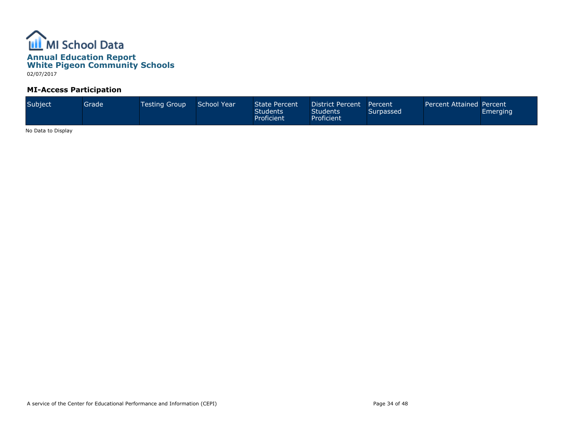

MI-Access Participation

| Subject | Grade' | <b>Testing Group</b> | School Year | State Percent<br><b>Students</b><br>Proficient | District Percent<br><b>Students</b><br><b>Proficient</b> | Percent<br>Surpassed | Percent Attained Percent | Emerging |
|---------|--------|----------------------|-------------|------------------------------------------------|----------------------------------------------------------|----------------------|--------------------------|----------|
|---------|--------|----------------------|-------------|------------------------------------------------|----------------------------------------------------------|----------------------|--------------------------|----------|

No Data to Display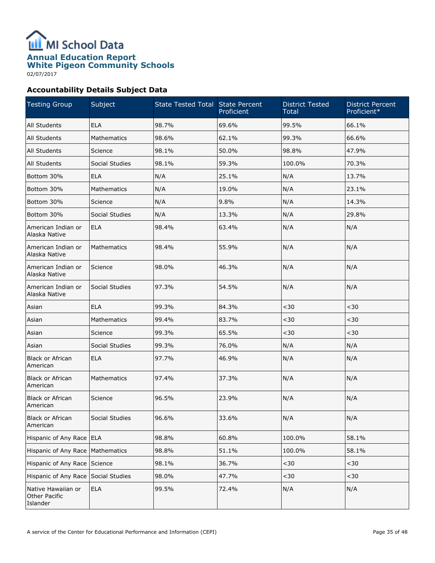

02/07/2017

# Accountability Details Subject Data

| <b>Testing Group</b>                            | Subject            | State Tested Total State Percent | Proficient | <b>District Tested</b><br><b>Total</b> | <b>District Percent</b><br>Proficient* |
|-------------------------------------------------|--------------------|----------------------------------|------------|----------------------------------------|----------------------------------------|
| All Students                                    | <b>ELA</b>         | 98.7%                            | 69.6%      | 99.5%                                  | 66.1%                                  |
| All Students                                    | Mathematics        | 98.6%                            | 62.1%      | 99.3%                                  | 66.6%                                  |
| All Students                                    | Science            | 98.1%                            | 50.0%      | 98.8%                                  | 47.9%                                  |
| All Students                                    | Social Studies     | 98.1%                            | 59.3%      | 100.0%                                 | 70.3%                                  |
| Bottom 30%                                      | <b>ELA</b>         | N/A                              | 25.1%      | N/A                                    | 13.7%                                  |
| Bottom 30%                                      | Mathematics        | N/A                              | 19.0%      | N/A                                    | 23.1%                                  |
| Bottom 30%                                      | Science            | N/A                              | 9.8%       | N/A                                    | 14.3%                                  |
| Bottom 30%                                      | Social Studies     | N/A                              | 13.3%      | N/A                                    | 29.8%                                  |
| American Indian or<br>Alaska Native             | <b>ELA</b>         | 98.4%                            | 63.4%      | N/A                                    | N/A                                    |
| American Indian or<br>Alaska Native             | <b>Mathematics</b> | 98.4%                            | 55.9%      | N/A                                    | N/A                                    |
| American Indian or<br>Alaska Native             | Science            | 98.0%                            | 46.3%      | N/A                                    | N/A                                    |
| American Indian or<br>Alaska Native             | Social Studies     | 97.3%                            | 54.5%      | N/A                                    | N/A                                    |
| Asian                                           | <b>ELA</b>         | 99.3%                            | 84.3%      | $30$                                   | $30$                                   |
| Asian                                           | <b>Mathematics</b> | 99.4%                            | 83.7%      | $30$                                   | $30$                                   |
| Asian                                           | Science            | 99.3%                            | 65.5%      | $30$                                   | $30$                                   |
| Asian                                           | Social Studies     | 99.3%                            | 76.0%      | N/A                                    | N/A                                    |
| <b>Black or African</b><br>American             | <b>ELA</b>         | 97.7%                            | 46.9%      | N/A                                    | N/A                                    |
| <b>Black or African</b><br>American             | Mathematics        | 97.4%                            | 37.3%      | N/A                                    | N/A                                    |
| <b>Black or African</b><br>American             | Science            | 96.5%                            | 23.9%      | N/A                                    | N/A                                    |
| <b>Black or African</b><br>American             | Social Studies     | 96.6%                            | 33.6%      | N/A                                    | N/A                                    |
| Hispanic of Any Race ELA                        |                    | 98.8%                            | 60.8%      | 100.0%                                 | 58.1%                                  |
| Hispanic of Any Race                            | Mathematics        | 98.8%                            | 51.1%      | 100.0%                                 | 58.1%                                  |
| Hispanic of Any Race                            | Science            | 98.1%                            | 36.7%      | $<$ 30 $\,$                            | $30$                                   |
| Hispanic of Any Race                            | Social Studies     | 98.0%                            | 47.7%      | $<$ 30 $\,$                            | $30$                                   |
| Native Hawaiian or<br>Other Pacific<br>Islander | <b>ELA</b>         | 99.5%                            | 72.4%      | N/A                                    | N/A                                    |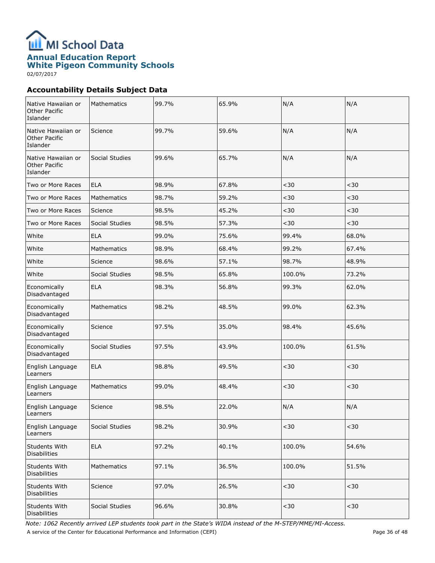

02/07/2017

# Accountability Details Subject Data

| Native Hawaiian or<br><b>Other Pacific</b><br>Islander | Mathematics        | 99.7% | 65.9% | N/A         | N/A         |
|--------------------------------------------------------|--------------------|-------|-------|-------------|-------------|
| Native Hawaiian or<br>Other Pacific<br>Islander        | Science            | 99.7% | 59.6% | N/A         | N/A         |
| Native Hawaiian or<br>Other Pacific<br>Islander        | Social Studies     | 99.6% | 65.7% | N/A         | N/A         |
| Two or More Races                                      | <b>ELA</b>         | 98.9% | 67.8% | $30$        | $30$        |
| Two or More Races                                      | Mathematics        | 98.7% | 59.2% | $30$        | $30$        |
| Two or More Races                                      | Science            | 98.5% | 45.2% | $30$        | $30$        |
| Two or More Races                                      | Social Studies     | 98.5% | 57.3% | $30$        | $30$        |
| White                                                  | <b>ELA</b>         | 99.0% | 75.6% | 99.4%       | 68.0%       |
| White                                                  | Mathematics        | 98.9% | 68.4% | 99.2%       | 67.4%       |
| White                                                  | Science            | 98.6% | 57.1% | 98.7%       | 48.9%       |
| White                                                  | Social Studies     | 98.5% | 65.8% | 100.0%      | 73.2%       |
| Economically<br>Disadvantaged                          | <b>ELA</b>         | 98.3% | 56.8% | 99.3%       | 62.0%       |
| Economically<br>Disadvantaged                          | <b>Mathematics</b> | 98.2% | 48.5% | 99.0%       | 62.3%       |
| Economically<br>Disadvantaged                          | Science            | 97.5% | 35.0% | 98.4%       | 45.6%       |
| Economically<br>Disadvantaged                          | Social Studies     | 97.5% | 43.9% | 100.0%      | 61.5%       |
| English Language<br>Learners                           | <b>ELA</b>         | 98.8% | 49.5% | $30$        | $30$        |
| English Language<br>Learners                           | <b>Mathematics</b> | 99.0% | 48.4% | $30$        | $30$        |
| English Language<br>Learners                           | Science            | 98.5% | 22.0% | N/A         | N/A         |
| English Language<br>Learners                           | Social Studies     | 98.2% | 30.9% | $30$        | $30$        |
| Students With<br><b>Disabilities</b>                   | <b>ELA</b>         | 97.2% | 40.1% | 100.0%      | 54.6%       |
| Students With<br><b>Disabilities</b>                   | Mathematics        | 97.1% | 36.5% | 100.0%      | 51.5%       |
| Students With<br><b>Disabilities</b>                   | Science            | 97.0% | 26.5% | $30$        | $30$        |
| Students With<br><b>Disabilities</b>                   | Social Studies     | 96.6% | 30.8% | $<$ 30 $\,$ | $<$ 30 $\,$ |

Note: 1062 Recently arrived LEP students took part in the State's WIDA instead of the M-STEP/MME/MI-Access. A service of the Center for Educational Performance and Information (CEPI) A service of the Center for Educational Performance and Information (CEPI)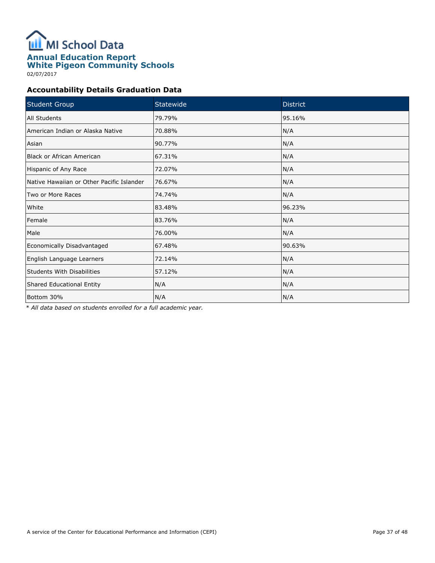

02/07/2017

## Accountability Details Graduation Data

| <b>Student Group</b>                      | Statewide | <b>District</b> |
|-------------------------------------------|-----------|-----------------|
| All Students                              | 79.79%    | 95.16%          |
| American Indian or Alaska Native          | 70.88%    | N/A             |
| Asian                                     | 90.77%    | N/A             |
| <b>Black or African American</b>          | 67.31%    | N/A             |
| Hispanic of Any Race                      | 72.07%    | N/A             |
| Native Hawaiian or Other Pacific Islander | 76.67%    | N/A             |
| Two or More Races                         | 74.74%    | N/A             |
| White                                     | 83.48%    | 96.23%          |
| Female                                    | 83.76%    | N/A             |
| Male                                      | 76.00%    | N/A             |
| Economically Disadvantaged                | 67.48%    | 90.63%          |
| English Language Learners                 | 72.14%    | N/A             |
| <b>Students With Disabilities</b>         | 57.12%    | N/A             |
| Shared Educational Entity                 | N/A       | N/A             |
| Bottom 30%                                | N/A       | N/A             |

\* All data based on students enrolled for a full academic year.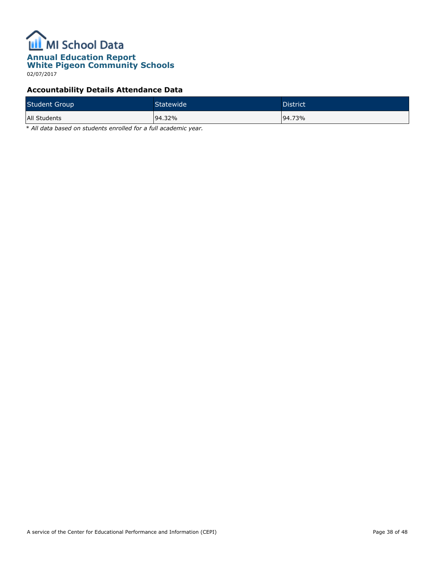

02/07/2017

# Accountability Details Attendance Data

| <b>Student Group</b> | Statewide | <b>District</b> |
|----------------------|-----------|-----------------|
| All Students         | 94.32%    | 94.73%          |

\* All data based on students enrolled for a full academic year.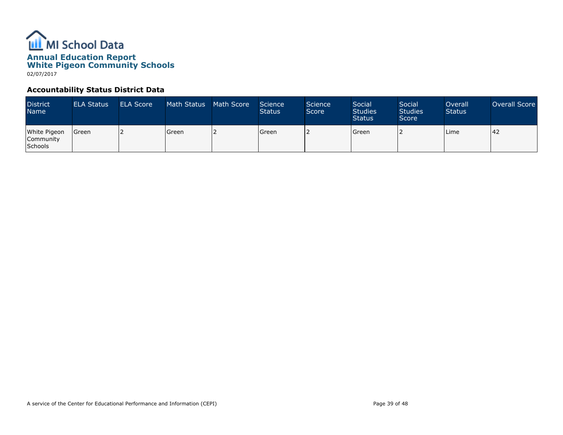

#### Accountability Status District Data

| <b>District</b><br><b>Name</b>       | <b>ELA Status</b> | <b>ELA Score</b> | Math Status | Math Score | Science<br><b>Status</b> | Science<br>Score | Social<br><b>Studies</b><br><b>Status</b> | Social<br><b>Studies</b><br>Score | Overall<br><b>Status</b> | Overall Score |
|--------------------------------------|-------------------|------------------|-------------|------------|--------------------------|------------------|-------------------------------------------|-----------------------------------|--------------------------|---------------|
| White Pigeon<br>Community<br>Schools | l Green           |                  | l Green     |            | Green                    |                  | <b>Green</b>                              |                                   | Lime                     | 142           |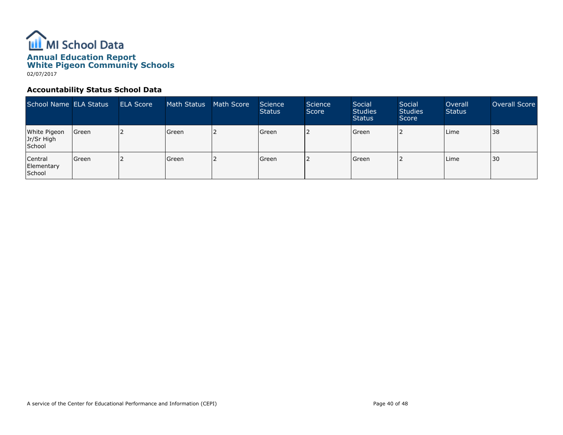

#### Accountability Status School Data

| School Name ELA Status               |         | <b>ELA Score</b> | Math Status | Math Score | Science<br><b>Status</b> | Science<br>Score | Social<br><b>Studies</b><br><b>Status</b> | Social<br><b>Studies</b><br>Score | Overall<br><b>Status</b> | Overall Score |
|--------------------------------------|---------|------------------|-------------|------------|--------------------------|------------------|-------------------------------------------|-----------------------------------|--------------------------|---------------|
| White Pigeon<br>Jr/Sr High<br>School | Green   |                  | l Green     |            | Green                    |                  | Green                                     |                                   | Lime                     | 38            |
| Central<br>Elementary<br>School      | l Green |                  | l Green     |            | Green                    |                  | Green                                     |                                   | Lime                     | 30            |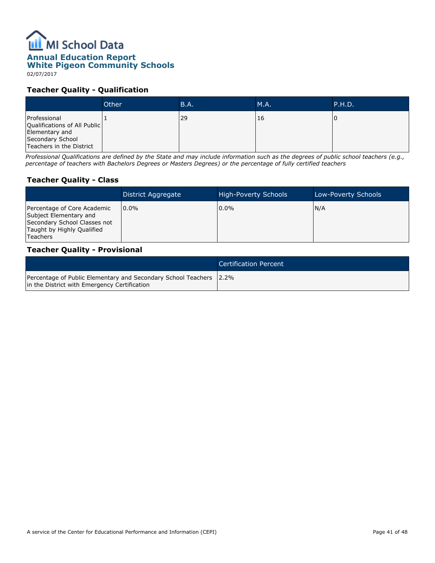# **ILL** MI School Data

# Annual Education Report

# White Pigeon Community Schools

02/07/2017

#### Teacher Quality - Qualification

|                                                                                                                | Other | <b>B.A.</b> | M.A. | P.H.D. |
|----------------------------------------------------------------------------------------------------------------|-------|-------------|------|--------|
| Professional<br>Qualifications of All Public<br>Elementary and<br>Secondary School<br>Teachers in the District |       | 29          | 16   |        |

Professional Qualifications are defined by the State and may include information such as the degrees of public school teachers (e.g., percentage of teachers with Bachelors Degrees or Masters Degrees) or the percentage of fully certified teachers

# Teacher Quality - Class

|                                                                                                                                        | District Aggregate | High-Poverty Schools | Low-Poverty Schools |
|----------------------------------------------------------------------------------------------------------------------------------------|--------------------|----------------------|---------------------|
| Percentage of Core Academic<br>Subject Elementary and<br>Secondary School Classes not<br>Taught by Highly Qualified<br><b>Teachers</b> | $0.0\%$            | $0.0\%$              | N/A                 |

#### Teacher Quality - Provisional

|                                                                                                                    | Certification Percent |
|--------------------------------------------------------------------------------------------------------------------|-----------------------|
| Percentage of Public Elementary and Secondary School Teachers 2.2%<br>In the District with Emergency Certification |                       |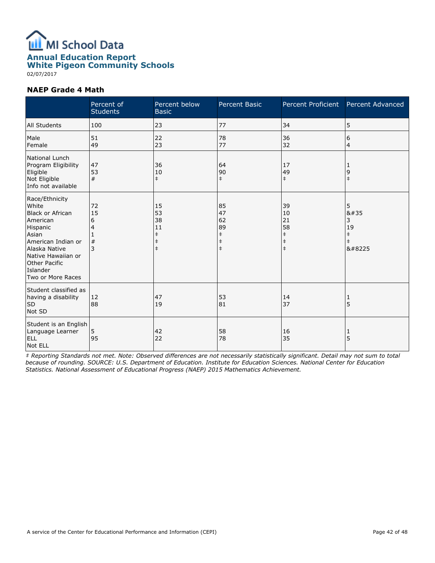

02/07/2017

#### NAEP Grade 4 Math

|                                                                                                                                                                                                           | Percent of<br><b>Students</b>     | Percent below<br><b>Basic</b>                                  | <b>Percent Basic</b>                                           | Percent Proficient                                             | <b>Percent Advanced</b>                            |
|-----------------------------------------------------------------------------------------------------------------------------------------------------------------------------------------------------------|-----------------------------------|----------------------------------------------------------------|----------------------------------------------------------------|----------------------------------------------------------------|----------------------------------------------------|
| All Students                                                                                                                                                                                              | 100                               | 23                                                             | 77                                                             | 34                                                             | 5                                                  |
| Male<br>Female                                                                                                                                                                                            | 51<br>49                          | 22<br>23                                                       | 78<br>77                                                       | 36<br>32                                                       | 6<br>4                                             |
| <b>National Lunch</b><br>Program Eligibility<br>Eligible<br>Not Eligible<br>Info not available                                                                                                            | 47<br>53<br>#                     | 36<br>10<br>$\ddagger$                                         | 64<br>90<br>$\ddagger$                                         | 17<br>49<br>$\ddagger$                                         | 1<br>9<br>$\ddagger$                               |
| Race/Ethnicity<br>White<br><b>Black or African</b><br>American<br>Hispanic<br>Asian<br>American Indian or<br>Alaska Native<br>Native Hawaiian or<br><b>Other Pacific</b><br>Islander<br>Two or More Races | 72<br>15<br>6<br>4<br>1<br>#<br>3 | 15<br>53<br>38<br>11<br>$\ddagger$<br>$\ddagger$<br>$\ddagger$ | 85<br>47<br>62<br>89<br>$\ddagger$<br>$\ddagger$<br>$\ddagger$ | 39<br>10<br>21<br>58<br>$\ddagger$<br>$\ddagger$<br>$\ddagger$ | 5<br>#<br>3<br>19<br>$\ddagger$<br>$\ddagger$<br>‡ |
| Student classified as<br>having a disability<br><b>SD</b><br>Not SD                                                                                                                                       | 12<br>88                          | 47<br><b>19</b>                                                | 53<br>81                                                       | 14<br>37                                                       | 1<br>5                                             |
| Student is an English<br>Language Learner<br><b>ELL</b><br>Not ELL                                                                                                                                        | 5<br>95                           | 42<br>22                                                       | 58<br>78                                                       | 16<br>35                                                       | 1<br>5                                             |

‡ Reporting Standards not met. Note: Observed differences are not necessarily statistically significant. Detail may not sum to total because of rounding. SOURCE: U.S. Department of Education. Institute for Education Sciences. National Center for Education Statistics. National Assessment of Educational Progress (NAEP) 2015 Mathematics Achievement.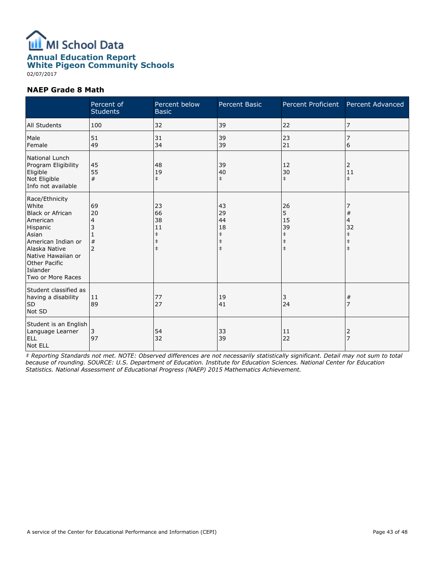

02/07/2017

#### NAEP Grade 8 Math

|                                                                                                                                                                                                           | Percent of<br><b>Students</b>             | Percent below<br><b>Basic</b>                                  | <b>Percent Basic</b>                                           | Percent Proficient                                            | Percent Advanced                                          |
|-----------------------------------------------------------------------------------------------------------------------------------------------------------------------------------------------------------|-------------------------------------------|----------------------------------------------------------------|----------------------------------------------------------------|---------------------------------------------------------------|-----------------------------------------------------------|
| All Students                                                                                                                                                                                              | 100                                       | 32                                                             | 39                                                             | 22                                                            | 7                                                         |
| Male<br>Female                                                                                                                                                                                            | 51<br>49                                  | 31<br>34                                                       | 39<br>39                                                       | 23<br>21                                                      | 7<br>6                                                    |
| National Lunch<br>Program Eligibility<br>Eligible<br>Not Eligible<br>Info not available                                                                                                                   | 45<br>55<br>#                             | 48<br>19<br>$\ddagger$                                         | 39<br>40<br>$\ddagger$                                         | 12<br>30<br>$\ddagger$                                        | 2<br>11<br>$\ddagger$                                     |
| Race/Ethnicity<br>White<br><b>Black or African</b><br>American<br>Hispanic<br>Asian<br>American Indian or<br>Alaska Native<br>Native Hawaiian or<br><b>Other Pacific</b><br>Islander<br>Two or More Races | 69<br>20<br>4<br>3<br>#<br>$\overline{2}$ | 23<br>66<br>38<br>11<br>$\ddagger$<br>$\ddagger$<br>$\ddagger$ | 43<br>29<br>44<br>18<br>$\ddagger$<br>$\ddagger$<br>$\ddagger$ | 26<br>5<br>15<br>39<br>$\ddagger$<br>$\ddagger$<br>$\ddagger$ | $\#$<br>4<br>32<br>$\ddagger$<br>$\ddagger$<br>$\ddagger$ |
| Student classified as<br>having a disability<br><b>SD</b><br>Not SD                                                                                                                                       | 11<br>89                                  | 77<br>27                                                       | 19<br>41                                                       | 3<br>24                                                       | #<br>7                                                    |
| Student is an English<br>Language Learner<br><b>ELL</b><br>Not ELL                                                                                                                                        | 3<br>97                                   | 54<br>32                                                       | 33<br>39                                                       | 11<br>22                                                      | 2<br>$\overline{z}$                                       |

‡ Reporting Standards not met. NOTE: Observed differences are not necessarily statistically significant. Detail may not sum to total because of rounding. SOURCE: U.S. Department of Education. Institute for Education Sciences. National Center for Education Statistics. National Assessment of Educational Progress (NAEP) 2015 Mathematics Achievement.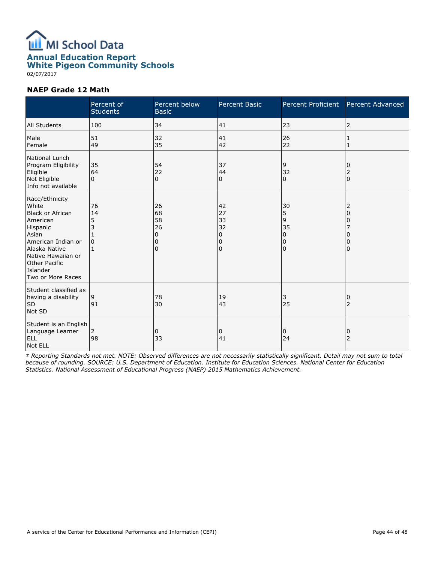

White Pigeon Community Schools

02/07/2017

#### NAEP Grade 12 Math

|                                                                                                                                                                                                           | Percent of<br><b>Students</b>  | Percent below<br><b>Basic</b>                           | <b>Percent Basic</b>                | Percent Proficient                          | Percent Advanced                         |
|-----------------------------------------------------------------------------------------------------------------------------------------------------------------------------------------------------------|--------------------------------|---------------------------------------------------------|-------------------------------------|---------------------------------------------|------------------------------------------|
| All Students                                                                                                                                                                                              | 100                            | 34                                                      | 41                                  | 23                                          | 2                                        |
| Male<br>Female                                                                                                                                                                                            | 51<br>49                       | 32<br>35                                                | 41<br>42                            | 26<br>22                                    | 1<br>1                                   |
| <b>National Lunch</b><br>Program Eligibility<br>Eligible<br>Not Eligible<br>Info not available                                                                                                            | 35<br>64<br>$\Omega$           | 54<br>22<br>$\Omega$                                    | 37<br>44<br>0                       | 9<br>32<br>$\Omega$                         | 0<br>$\overline{c}$<br>$\Omega$          |
| Race/Ethnicity<br>White<br><b>Black or African</b><br>American<br>Hispanic<br>Asian<br>American Indian or<br>Alaska Native<br>Native Hawaiian or<br><b>Other Pacific</b><br>Islander<br>Two or More Races | 76<br>14<br>5<br>3<br>$\Omega$ | 26<br>68<br>58<br>26<br>$\mathbf 0$<br>0<br>$\mathbf 0$ | 42<br>27<br>33<br>32<br>0<br>0<br>0 | 30<br>5<br>9<br>35<br>0<br>0<br>$\mathbf 0$ | 2<br>$\Omega$<br>0<br>0<br>0<br>$\Omega$ |
| Student classified as<br>having a disability<br><b>SD</b><br>Not SD                                                                                                                                       | 9<br>91                        | 78<br>30                                                | 19<br>43                            | 3<br>25                                     | 0<br>$\overline{2}$                      |
| Student is an English<br>Language Learner<br><b>ELL</b><br>Not ELL                                                                                                                                        | 2<br>98                        | 0<br>33                                                 | 0<br>41                             | 0<br>24                                     | 0<br>$\overline{2}$                      |

‡ Reporting Standards not met. NOTE: Observed differences are not necessarily statistically significant. Detail may not sum to total because of rounding. SOURCE: U.S. Department of Education. Institute for Education Sciences. National Center for Education Statistics. National Assessment of Educational Progress (NAEP) 2015 Mathematics Achievement.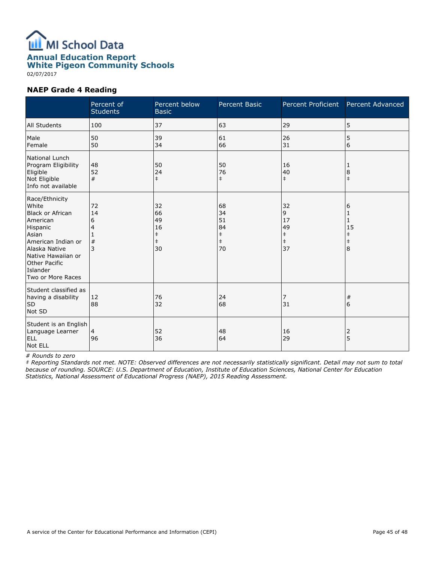

White Pigeon Community Schools

02/07/2017

#### NAEP Grade 4 Reading

|                                                                                                                                                                                                           | Percent of<br><b>Students</b> | Percent below<br><b>Basic</b>                          | Percent Basic                                          | Percent Proficient                                    | Percent Advanced                              |
|-----------------------------------------------------------------------------------------------------------------------------------------------------------------------------------------------------------|-------------------------------|--------------------------------------------------------|--------------------------------------------------------|-------------------------------------------------------|-----------------------------------------------|
| All Students                                                                                                                                                                                              | 100                           | 37                                                     | 63                                                     | 29                                                    | 5                                             |
| Male<br>Female                                                                                                                                                                                            | 50<br>50                      | 39<br>34                                               | 61<br>66                                               | 26<br>31                                              | 5<br>6                                        |
| National Lunch<br>Program Eligibility<br>Eligible<br>Not Eligible<br>Info not available                                                                                                                   | 48<br>52<br>#                 | 50<br>24<br>$\ddagger$                                 | 50<br>76<br>$\ddagger$                                 | 16<br>40<br>$\ddagger$                                | 1<br>$\boldsymbol{8}$<br>$\ddagger$           |
| Race/Ethnicity<br>White<br><b>Black or African</b><br>American<br>Hispanic<br>Asian<br>American Indian or<br>Alaska Native<br>Native Hawaiian or<br><b>Other Pacific</b><br>Islander<br>Two or More Races | 72<br>14<br>6<br>4<br>#<br>3  | 32<br>66<br>49<br>16<br>$\ddagger$<br>$\ddagger$<br>30 | 68<br>34<br>51<br>84<br>$\ddagger$<br>$\ddagger$<br>70 | 32<br>9<br>17<br>49<br>$\ddagger$<br>$\ddagger$<br>37 | 6<br>1<br>15<br>$\ddagger$<br>$\ddagger$<br>8 |
| Student classified as<br>having a disability<br>SD<br>Not SD                                                                                                                                              | 12<br>88                      | 76<br>32                                               | 24<br>68                                               | 7<br>31                                               | $\#$<br>6                                     |
| Student is an English<br>Language Learner<br><b>ELL</b><br>Not ELL                                                                                                                                        | 4<br>96                       | 52<br>36                                               | 48<br>64                                               | 16<br>29                                              | 2<br>5                                        |

#### # Rounds to zero

‡ Reporting Standards not met. NOTE: Observed differences are not necessarily statistically significant. Detail may not sum to total because of rounding. SOURCE: U.S. Department of Education, Institute of Education Sciences, National Center for Education Statistics, National Assessment of Educational Progress (NAEP), 2015 Reading Assessment.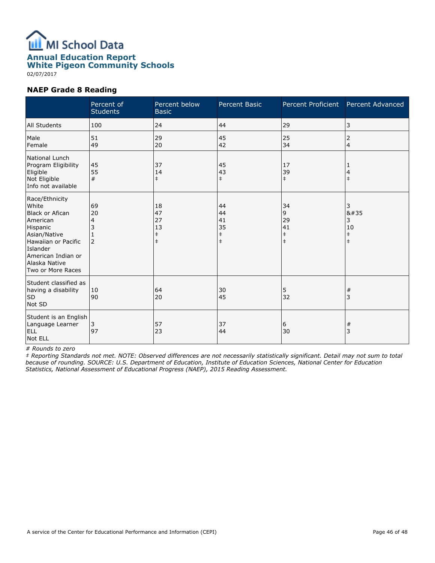

White Pigeon Community Schools

02/07/2017

#### NAEP Grade 8 Reading

|                                                                                                                                                                                          | Percent of<br><b>Students</b> | Percent below<br><b>Basic</b>                    | <b>Percent Basic</b>                             | Percent Proficient                              | Percent Advanced                                 |
|------------------------------------------------------------------------------------------------------------------------------------------------------------------------------------------|-------------------------------|--------------------------------------------------|--------------------------------------------------|-------------------------------------------------|--------------------------------------------------|
| All Students                                                                                                                                                                             | 100                           | 24                                               | 44                                               | 29                                              | 3                                                |
| Male<br>Female                                                                                                                                                                           | 51<br>49                      | 29<br>20                                         | 45<br>42                                         | 25<br>34                                        | 2<br>4                                           |
| National Lunch<br>Program Eligibility<br>Eligible<br>Not Eligible<br>Info not available                                                                                                  | 45<br>55<br>#                 | 37<br>14<br>$\ddagger$                           | 45<br>43<br>$\ddagger$                           | 17<br>39<br>$\ddagger$                          | 1<br>4<br>$\ddagger$                             |
| Race/Ethnicity<br>White<br><b>Black or Afican</b><br>American<br>Hispanic<br>Asian/Native<br>Hawaiian or Pacific<br>Islander<br>American Indian or<br>Alaska Native<br>Two or More Races | 69<br>20<br>4<br>2            | 18<br>47<br>27<br>13<br>$\ddagger$<br>$\ddagger$ | 44<br>44<br>41<br>35<br>$\ddagger$<br>$\ddagger$ | 34<br>9<br>29<br>41<br>$\ddagger$<br>$\ddagger$ | 3<br>8#35<br>3<br>10<br>$\ddagger$<br>$\ddagger$ |
| Student classified as<br>having a disability<br><b>SD</b><br>Not SD                                                                                                                      | 10<br>90                      | 64<br>20                                         | 30<br>45                                         | 5<br>32                                         | #<br>3                                           |
| Student is an English<br>Language Learner<br><b>ELL</b><br>Not ELL                                                                                                                       | 3<br>97                       | 57<br>23                                         | 37<br>44                                         | 6<br>30                                         | $\#$<br>3                                        |

# Rounds to zero

‡ Reporting Standards not met. NOTE: Observed differences are not necessarily statistically significant. Detail may not sum to total because of rounding. SOURCE: U.S. Department of Education, Institute of Education Sciences, National Center for Education Statistics, National Assessment of Educational Progress (NAEP), 2015 Reading Assessment.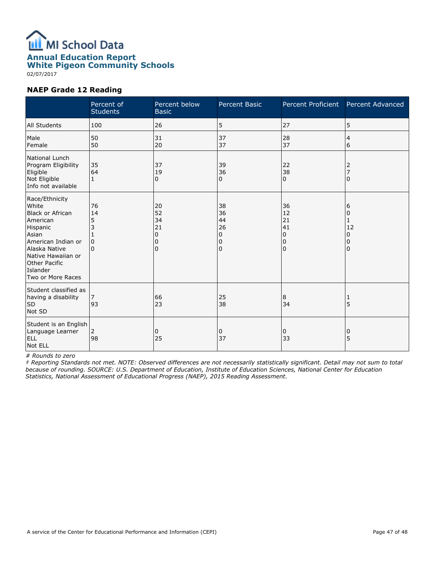

White Pigeon Community Schools

#### 02/07/2017

#### NAEP Grade 12 Reading

|                                                                                                                                                                                                           | Percent of<br><b>Students</b> | Percent below<br><b>Basic</b>              | Percent Basic                       | Percent Proficient                         | Percent Advanced                               |
|-----------------------------------------------------------------------------------------------------------------------------------------------------------------------------------------------------------|-------------------------------|--------------------------------------------|-------------------------------------|--------------------------------------------|------------------------------------------------|
| All Students                                                                                                                                                                                              | 100                           | 26                                         | 5                                   | 27                                         | 5                                              |
| Male<br>Female                                                                                                                                                                                            | 50<br>50                      | 31<br>20                                   | 37<br>37                            | 28<br>37                                   | 4<br>6                                         |
| National Lunch<br>Program Eligibility<br>Eligible<br>Not Eligible<br>Info not available                                                                                                                   | 35<br>64<br>1                 | 37<br>19<br>0                              | 39<br>36<br>0                       | 22<br>38<br>0                              | 2<br>7<br>0                                    |
| Race/Ethnicity<br>White<br><b>Black or African</b><br>American<br>Hispanic<br>Asian<br>American Indian or<br>Alaska Native<br>Native Hawaiian or<br><b>Other Pacific</b><br>Islander<br>Two or More Races | 76<br>14<br>5<br>3<br>0       | 20<br>52<br>34<br>21<br>0<br>0<br>$\Omega$ | 38<br>36<br>44<br>26<br>0<br>0<br>0 | 36<br>12<br>21<br>41<br>0<br>0<br>$\Omega$ | 6<br>0<br>1<br>12<br>$\Omega$<br>0<br>$\Omega$ |
| Student classified as<br>having a disability<br>SD<br>Not SD                                                                                                                                              | 93                            | 66<br>23                                   | 25<br>38                            | 8<br>34                                    | $\cdot$ 1<br>5                                 |
| Student is an English<br>Language Learner<br><b>ELL</b><br>Not ELL                                                                                                                                        | 2<br>98                       | 0<br>25                                    | 0<br>37                             | 0<br>33                                    | 0<br>5                                         |

#### # Rounds to zero

‡ Reporting Standards not met. NOTE: Observed differences are not necessarily statistically significant. Detail may not sum to total because of rounding. SOURCE: U.S. Department of Education, Institute of Education Sciences, National Center for Education Statistics, National Assessment of Educational Progress (NAEP), 2015 Reading Assessment.